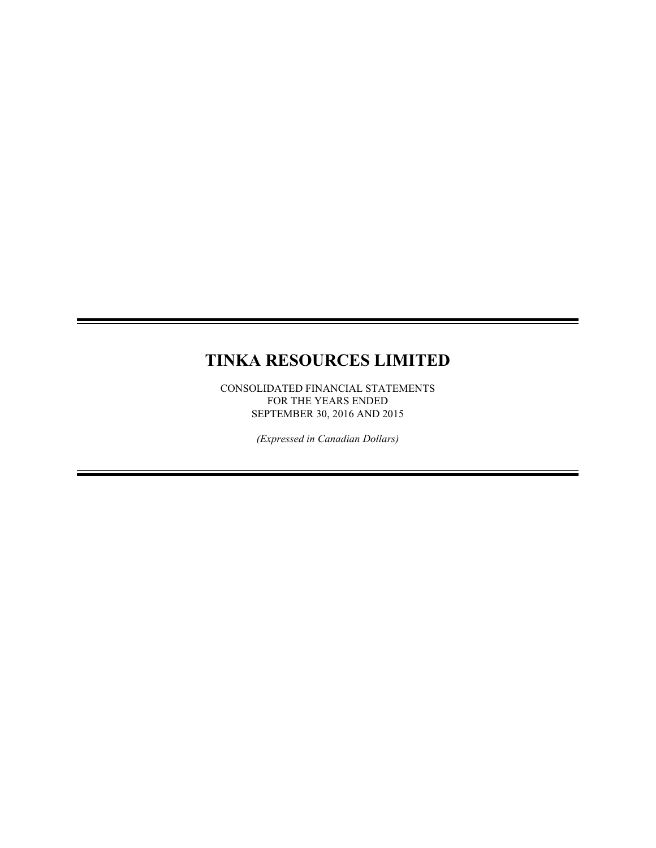# **TINKA RESOURCES LIMITED**

CONSOLIDATED FINANCIAL STATEMENTS FOR THE YEARS ENDED SEPTEMBER 30, 2016 AND 2015

*(Expressed in Canadian Dollars)*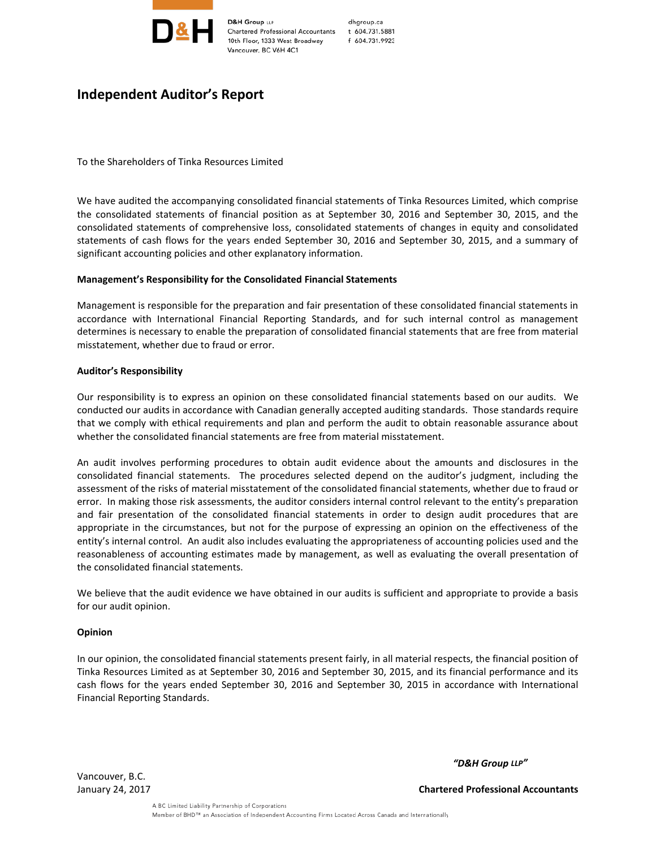

dhgroup.ca t 604.731.5881 f 604.731.9923

## **Independent Auditor's Report**

To the Shareholders of Tinka Resources Limited

We have audited the accompanying consolidated financial statements of Tinka Resources Limited, which comprise the consolidated statements of financial position as at September 30, 2016 and September 30, 2015, and the consolidated statements of comprehensive loss, consolidated statements of changes in equity and consolidated statements of cash flows for the years ended September 30, 2016 and September 30, 2015, and a summary of significant accounting policies and other explanatory information.

### **Management's Responsibility for the Consolidated Financial Statements**

Management is responsible for the preparation and fair presentation of these consolidated financial statements in accordance with International Financial Reporting Standards, and for such internal control as management determines is necessary to enable the preparation of consolidated financial statements that are free from material misstatement, whether due to fraud or error.

#### **Auditor's Responsibility**

Our responsibility is to express an opinion on these consolidated financial statements based on our audits. We conducted our audits in accordance with Canadian generally accepted auditing standards. Those standards require that we comply with ethical requirements and plan and perform the audit to obtain reasonable assurance about whether the consolidated financial statements are free from material misstatement.

An audit involves performing procedures to obtain audit evidence about the amounts and disclosures in the consolidated financial statements. The procedures selected depend on the auditor's judgment, including the assessment of the risks of material misstatement of the consolidated financial statements, whether due to fraud or error. In making those risk assessments, the auditor considers internal control relevant to the entity's preparation and fair presentation of the consolidated financial statements in order to design audit procedures that are appropriate in the circumstances, but not for the purpose of expressing an opinion on the effectiveness of the entity's internal control. An audit also includes evaluating the appropriateness of accounting policies used and the reasonableness of accounting estimates made by management, as well as evaluating the overall presentation of the consolidated financial statements.

We believe that the audit evidence we have obtained in our audits is sufficient and appropriate to provide a basis for our audit opinion.

#### **Opinion**

In our opinion, the consolidated financial statements present fairly, in all material respects, the financial position of Tinka Resources Limited as at September 30, 2016 and September 30, 2015, and its financial performance and its cash flows for the years ended September 30, 2016 and September 30, 2015 in accordance with International Financial Reporting Standards.

Vancouver, B.C.

*"D&H Group LLP"*

January 24, 2017 **Chartered Professional Accountants**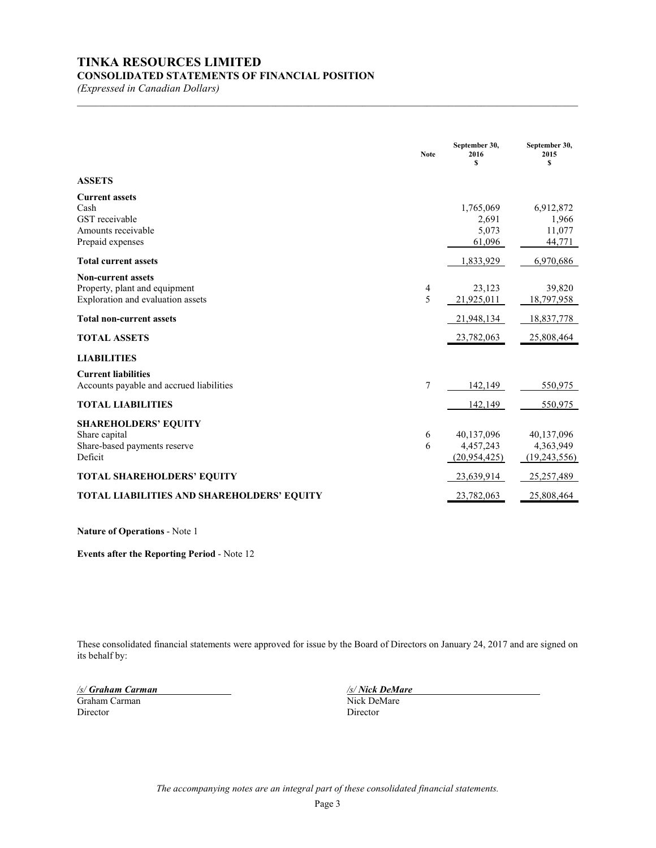# **TINKA RESOURCES LIMITED**

## **CONSOLIDATED STATEMENTS OF FINANCIAL POSITION**

*(Expressed in Canadian Dollars)*

|                                                                                                 | <b>Note</b> | September 30,<br>2016<br>\$               | September 30,<br>2015<br>S                |
|-------------------------------------------------------------------------------------------------|-------------|-------------------------------------------|-------------------------------------------|
| <b>ASSETS</b>                                                                                   |             |                                           |                                           |
| <b>Current assets</b><br>Cash<br>GST receivable<br>Amounts receivable<br>Prepaid expenses       |             | 1,765,069<br>2,691<br>5,073<br>61,096     | 6,912,872<br>1,966<br>11,077<br>44,771    |
| <b>Total current assets</b>                                                                     |             | 1,833,929                                 | 6,970,686                                 |
| <b>Non-current assets</b><br>Property, plant and equipment<br>Exploration and evaluation assets | 4<br>5      | 23,123<br>21,925,011                      | 39,820<br>18,797,958                      |
| <b>Total non-current assets</b>                                                                 |             | 21,948,134                                | 18,837,778                                |
| <b>TOTAL ASSETS</b>                                                                             |             | 23,782,063                                | 25,808,464                                |
| <b>LIABILITIES</b>                                                                              |             |                                           |                                           |
| <b>Current liabilities</b><br>Accounts payable and accrued liabilities                          | 7           | 142,149                                   | 550,975                                   |
| <b>TOTAL LIABILITIES</b>                                                                        |             | 142,149                                   | 550,975                                   |
| <b>SHAREHOLDERS' EQUITY</b><br>Share capital<br>Share-based payments reserve<br>Deficit         | 6<br>6      | 40,137,096<br>4,457,243<br>(20, 954, 425) | 40,137,096<br>4,363,949<br>(19, 243, 556) |
| <b>TOTAL SHAREHOLDERS' EQUITY</b>                                                               |             | 23,639,914                                | 25, 257, 489                              |
| <b>TOTAL LIABILITIES AND SHAREHOLDERS' EQUITY</b>                                               |             | 23,782,063                                | 25,808,464                                |

 $\mathcal{L}_\mathcal{L} = \{ \mathcal{L}_\mathcal{L} = \{ \mathcal{L}_\mathcal{L} = \{ \mathcal{L}_\mathcal{L} = \{ \mathcal{L}_\mathcal{L} = \{ \mathcal{L}_\mathcal{L} = \{ \mathcal{L}_\mathcal{L} = \{ \mathcal{L}_\mathcal{L} = \{ \mathcal{L}_\mathcal{L} = \{ \mathcal{L}_\mathcal{L} = \{ \mathcal{L}_\mathcal{L} = \{ \mathcal{L}_\mathcal{L} = \{ \mathcal{L}_\mathcal{L} = \{ \mathcal{L}_\mathcal{L} = \{ \mathcal{L}_\mathcal{$ 

**Nature of Operations** - Note 1

**Events after the Reporting Period** - Note 12

These consolidated financial statements were approved for issue by the Board of Directors on January 24, 2017 and are signed on its behalf by:

*/s/ Graham Carman /s/ Nick DeMare* Graham Carman Director Director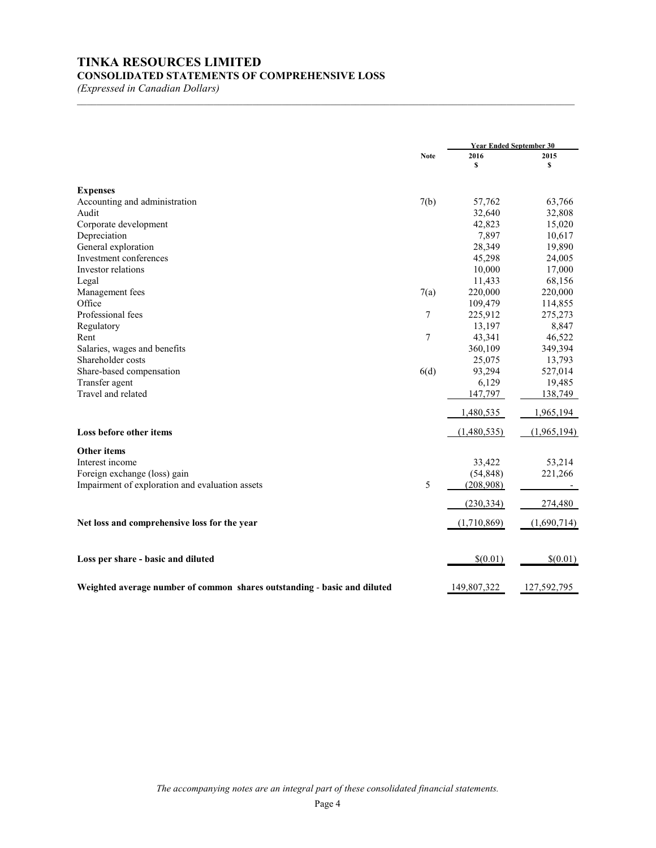## **TINKA RESOURCES LIMITED CONSOLIDATED STATEMENTS OF COMPREHENSIVE LOSS**

*(Expressed in Canadian Dollars)*

|                                                                          |             |             | <b>Year Ended September 30</b> |  |
|--------------------------------------------------------------------------|-------------|-------------|--------------------------------|--|
|                                                                          | <b>Note</b> | 2016<br>\$  | 2015<br>\$                     |  |
|                                                                          |             |             |                                |  |
| <b>Expenses</b>                                                          |             |             |                                |  |
| Accounting and administration                                            | 7(b)        | 57,762      | 63,766                         |  |
| Audit                                                                    |             | 32,640      | 32,808                         |  |
| Corporate development                                                    |             | 42,823      | 15,020                         |  |
| Depreciation                                                             |             | 7,897       | 10,617                         |  |
| General exploration                                                      |             | 28,349      | 19,890                         |  |
| Investment conferences                                                   |             | 45,298      | 24,005                         |  |
| Investor relations                                                       |             | 10,000      | 17,000                         |  |
| Legal                                                                    |             | 11,433      | 68,156                         |  |
| Management fees                                                          | 7(a)        | 220,000     | 220,000                        |  |
| Office                                                                   |             | 109,479     | 114,855                        |  |
| Professional fees                                                        | 7           | 225,912     | 275,273                        |  |
| Regulatory                                                               |             | 13,197      | 8,847                          |  |
| Rent                                                                     | 7           | 43,341      | 46,522                         |  |
| Salaries, wages and benefits                                             |             | 360,109     | 349,394                        |  |
| Shareholder costs                                                        |             | 25,075      | 13,793                         |  |
| Share-based compensation                                                 | 6(d)        | 93,294      | 527,014                        |  |
| Transfer agent                                                           |             | 6,129       | 19,485                         |  |
| Travel and related                                                       |             | 147,797     | 138,749                        |  |
|                                                                          |             |             |                                |  |
|                                                                          |             | 1,480,535   | 1,965,194                      |  |
| Loss before other items                                                  |             | (1,480,535) | (1,965,194)                    |  |
| <b>Other items</b>                                                       |             |             |                                |  |
| Interest income                                                          |             | 33,422      | 53,214                         |  |
| Foreign exchange (loss) gain                                             |             | (54, 848)   | 221,266                        |  |
| Impairment of exploration and evaluation assets                          | 5           | (208,908)   |                                |  |
|                                                                          |             | (230, 334)  | 274,480                        |  |
|                                                                          |             |             |                                |  |
| Net loss and comprehensive loss for the year                             |             | (1,710,869) | (1,690,714)                    |  |
| Loss per share - basic and diluted                                       |             | \$(0.01)    | \$(0.01)                       |  |
|                                                                          |             |             |                                |  |
| Weighted average number of common shares outstanding - basic and diluted |             | 149,807,322 | 127,592,795                    |  |

 $\mathcal{L}_\text{max} = \mathcal{L}_\text{max} = \mathcal{L}_\text{max} = \mathcal{L}_\text{max} = \mathcal{L}_\text{max} = \mathcal{L}_\text{max} = \mathcal{L}_\text{max} = \mathcal{L}_\text{max} = \mathcal{L}_\text{max} = \mathcal{L}_\text{max} = \mathcal{L}_\text{max} = \mathcal{L}_\text{max} = \mathcal{L}_\text{max} = \mathcal{L}_\text{max} = \mathcal{L}_\text{max} = \mathcal{L}_\text{max} = \mathcal{L}_\text{max} = \mathcal{L}_\text{max} = \mathcal{$ 

*The accompanying notes are an integral part of these consolidated financial statements.*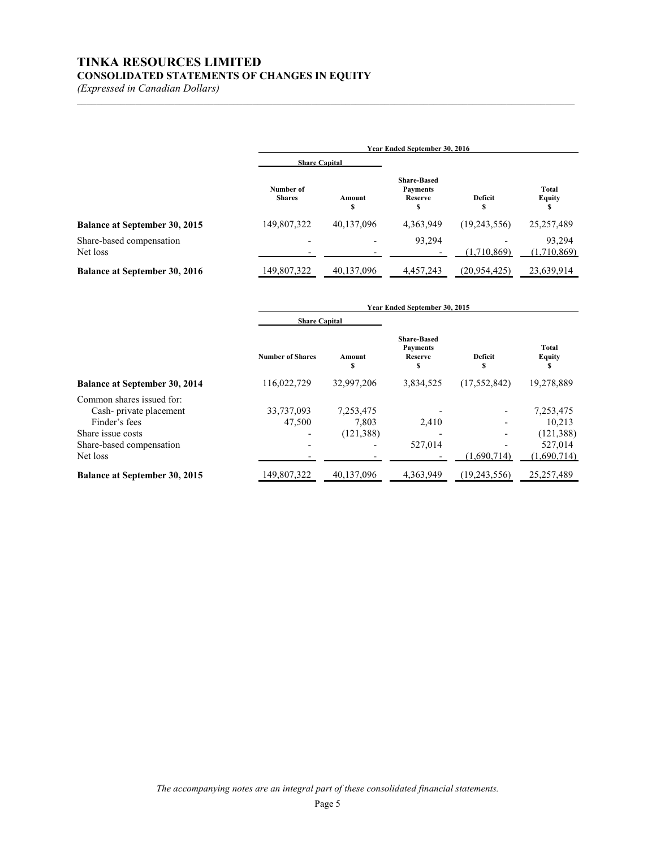## **TINKA RESOURCES LIMITED CONSOLIDATED STATEMENTS OF CHANGES IN EQUITY**

*(Expressed in Canadian Dollars)*

|                                      | Year Ended September 30, 2016 |                          |                                                       |                     |                               |
|--------------------------------------|-------------------------------|--------------------------|-------------------------------------------------------|---------------------|-------------------------------|
|                                      | <b>Share Capital</b>          |                          |                                                       |                     |                               |
|                                      | Number of<br><b>Shares</b>    | Amount<br>Ś              | <b>Share-Based</b><br><b>Payments</b><br>Reserve<br>S | <b>Deficit</b><br>S | <b>Total</b><br><b>Equity</b> |
| <b>Balance at September 30, 2015</b> | 149,807,322                   | 40,137,096               | 4,363,949                                             | (19,243,556)        | 25, 257, 489                  |
| Share-based compensation<br>Net loss | $\blacksquare$                | $\overline{\phantom{0}}$ | 93,294                                                | (1,710,869)         | 93,294<br>(1,710,869)         |
| <b>Balance at September 30, 2016</b> | 149,807,322                   | 40,137,096               | 4,457,243                                             | (20, 954, 425)      | 23,639,914                    |

 $\mathcal{L}_\text{max} = \mathcal{L}_\text{max} = \mathcal{L}_\text{max} = \mathcal{L}_\text{max} = \mathcal{L}_\text{max} = \mathcal{L}_\text{max} = \mathcal{L}_\text{max} = \mathcal{L}_\text{max} = \mathcal{L}_\text{max} = \mathcal{L}_\text{max} = \mathcal{L}_\text{max} = \mathcal{L}_\text{max} = \mathcal{L}_\text{max} = \mathcal{L}_\text{max} = \mathcal{L}_\text{max} = \mathcal{L}_\text{max} = \mathcal{L}_\text{max} = \mathcal{L}_\text{max} = \mathcal{$ 

|                                                                                                                                   | Year Ended September 30, 2015 |                                  |                                                              |                     |                                                             |
|-----------------------------------------------------------------------------------------------------------------------------------|-------------------------------|----------------------------------|--------------------------------------------------------------|---------------------|-------------------------------------------------------------|
|                                                                                                                                   | <b>Share Capital</b>          |                                  |                                                              |                     |                                                             |
|                                                                                                                                   | <b>Number of Shares</b>       | Amount<br>\$                     | <b>Share-Based</b><br><b>Payments</b><br><b>Reserve</b><br>s | <b>Deficit</b><br>S | <b>Total</b><br><b>Equity</b><br>S                          |
| <b>Balance at September 30, 2014</b>                                                                                              | 116,022,729                   | 32,997,206                       | 3,834,525                                                    | (17, 552, 842)      | 19,278,889                                                  |
| Common shares issued for:<br>Cash-private placement<br>Finder's fees<br>Share issue costs<br>Share-based compensation<br>Net loss | 33,737,093<br>47,500          | 7,253,475<br>7,803<br>(121, 388) | 2,410<br>527,014                                             | (1.690.714)         | 7,253,475<br>10,213<br>(121, 388)<br>527,014<br>(1,690,714) |
| <b>Balance at September 30, 2015</b>                                                                                              | 149,807,322                   | 40,137,096                       | 4.363.949                                                    | (19,243,556)        | 25,257,489                                                  |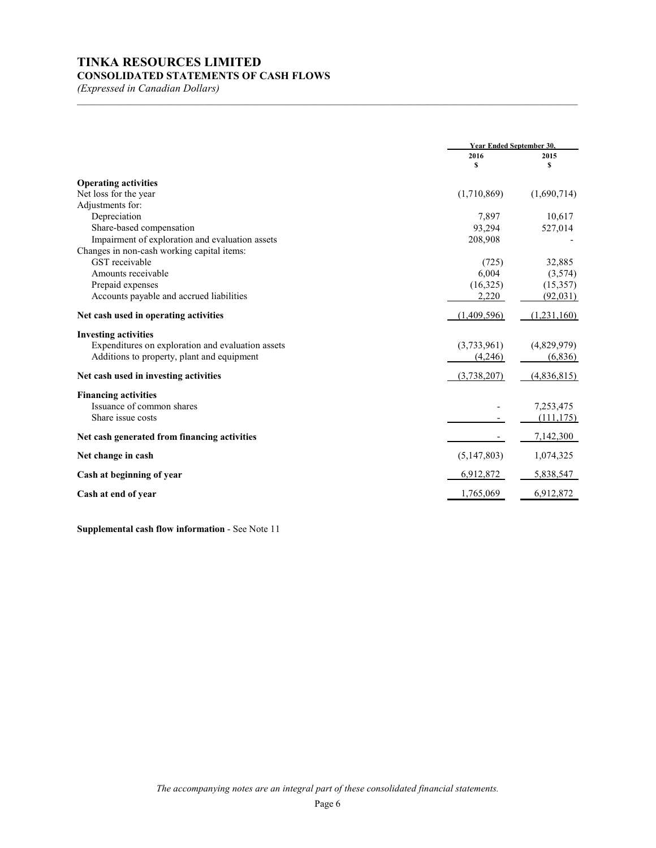# **TINKA RESOURCES LIMITED**

## **CONSOLIDATED STATEMENTS OF CASH FLOWS**

*(Expressed in Canadian Dollars)*

|                                                   | <b>Year Ended September 30.</b> |             |
|---------------------------------------------------|---------------------------------|-------------|
|                                                   | 2016                            | 2015        |
|                                                   | \$                              | s           |
| <b>Operating activities</b>                       |                                 |             |
| Net loss for the year                             | (1,710,869)                     | (1,690,714) |
| Adjustments for:                                  |                                 |             |
| Depreciation                                      | 7,897                           | 10,617      |
| Share-based compensation                          | 93,294                          | 527,014     |
| Impairment of exploration and evaluation assets   | 208,908                         |             |
| Changes in non-cash working capital items:        |                                 |             |
| GST receivable                                    | (725)                           | 32,885      |
| Amounts receivable                                | 6,004                           | (3,574)     |
| Prepaid expenses                                  | (16,325)                        | (15,357)    |
| Accounts payable and accrued liabilities          | 2,220                           | (92,031)    |
| Net cash used in operating activities             | (1,409,596)                     | (1,231,160) |
| <b>Investing activities</b>                       |                                 |             |
| Expenditures on exploration and evaluation assets | (3,733,961)                     | (4,829,979) |
| Additions to property, plant and equipment        | (4,246)                         | (6,836)     |
| Net cash used in investing activities             | (3,738,207)                     | (4,836,815) |
| <b>Financing activities</b>                       |                                 |             |
| Issuance of common shares                         |                                 | 7,253,475   |
| Share issue costs                                 |                                 | (111, 175)  |
| Net cash generated from financing activities      |                                 | 7,142,300   |
| Net change in cash                                | (5, 147, 803)                   | 1,074,325   |
| Cash at beginning of year                         | 6,912,872                       | 5,838,547   |
| Cash at end of year                               | 1,765,069                       | 6,912,872   |

\_\_\_\_\_\_\_\_\_\_\_\_\_\_\_\_\_\_\_\_\_\_\_\_\_\_\_\_\_\_\_\_\_\_\_\_\_\_\_\_\_\_\_\_\_\_\_\_\_\_\_\_\_\_\_\_\_\_\_\_\_\_\_\_\_\_\_\_\_\_\_\_\_\_\_\_\_\_\_\_\_\_\_\_\_\_\_\_\_\_\_\_\_\_\_\_\_\_\_\_\_\_\_

**Supplemental cash flow information** - See Note 11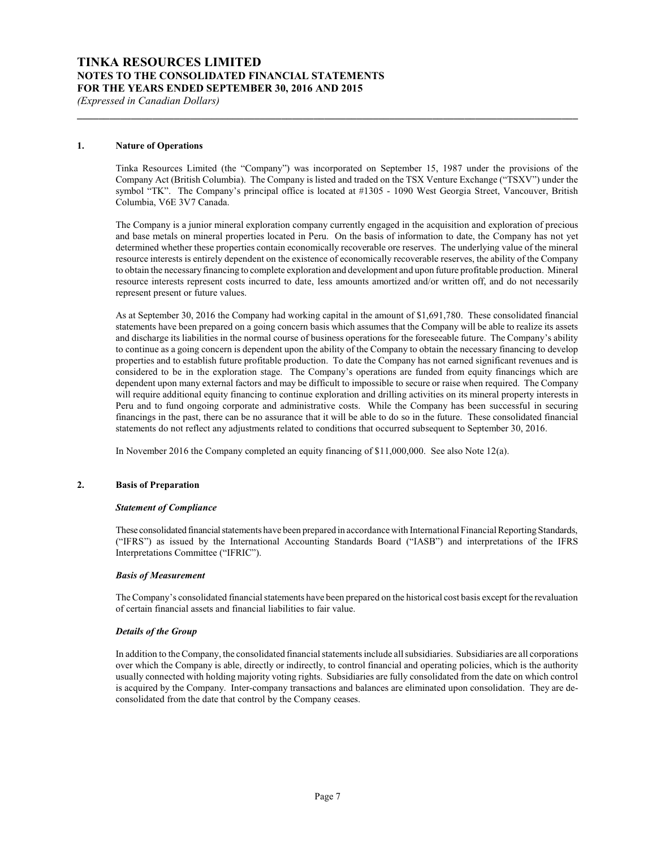## **TINKA RESOURCES LIMITED NOTES TO THE CONSOLIDATED FINANCIAL STATEMENTS FOR THE YEARS ENDED SEPTEMBER 30, 2016 AND 2015**

*(Expressed in Canadian Dollars)*

#### **1. Nature of Operations**

Tinka Resources Limited (the "Company") was incorporated on September 15, 1987 under the provisions of the Company Act (British Columbia). The Company is listed and traded on the TSX Venture Exchange ("TSXV") under the symbol "TK". The Company's principal office is located at #1305 - 1090 West Georgia Street, Vancouver, British Columbia, V6E 3V7 Canada.

**\_\_\_\_\_\_\_\_\_\_\_\_\_\_\_\_\_\_\_\_\_\_\_\_\_\_\_\_\_\_\_\_\_\_\_\_\_\_\_\_\_\_\_\_\_\_\_\_\_\_\_\_\_\_\_\_\_\_\_\_\_\_\_\_\_\_\_\_\_\_\_\_\_\_\_\_\_\_\_\_\_\_\_\_\_\_\_\_\_\_\_\_\_**

The Company is a junior mineral exploration company currently engaged in the acquisition and exploration of precious and base metals on mineral properties located in Peru. On the basis of information to date, the Company has not yet determined whether these properties contain economically recoverable ore reserves. The underlying value of the mineral resource interests is entirely dependent on the existence of economically recoverable reserves, the ability of the Company to obtain the necessary financing to complete exploration and development and upon future profitable production. Mineral resource interests represent costs incurred to date, less amounts amortized and/or written off, and do not necessarily represent present or future values.

As at September 30, 2016 the Company had working capital in the amount of \$1,691,780. These consolidated financial statements have been prepared on a going concern basis which assumes that the Company will be able to realize its assets and discharge its liabilities in the normal course of business operations for the foreseeable future. The Company's ability to continue as a going concern is dependent upon the ability of the Company to obtain the necessary financing to develop properties and to establish future profitable production. To date the Company has not earned significant revenues and is considered to be in the exploration stage. The Company's operations are funded from equity financings which are dependent upon many external factors and may be difficult to impossible to secure or raise when required. The Company will require additional equity financing to continue exploration and drilling activities on its mineral property interests in Peru and to fund ongoing corporate and administrative costs. While the Company has been successful in securing financings in the past, there can be no assurance that it will be able to do so in the future. These consolidated financial statements do not reflect any adjustments related to conditions that occurred subsequent to September 30, 2016.

In November 2016 the Company completed an equity financing of \$11,000,000. See also Note 12(a).

#### **2. Basis of Preparation**

#### *Statement of Compliance*

These consolidated financial statements have been prepared in accordance with International Financial Reporting Standards, ("IFRS") as issued by the International Accounting Standards Board ("IASB") and interpretations of the IFRS Interpretations Committee ("IFRIC").

#### *Basis of Measurement*

The Company's consolidated financial statements have been prepared on the historical cost basis except for the revaluation of certain financial assets and financial liabilities to fair value.

#### *Details of the Group*

In addition to the Company, the consolidated financial statements include all subsidiaries. Subsidiaries are all corporations over which the Company is able, directly or indirectly, to control financial and operating policies, which is the authority usually connected with holding majority voting rights. Subsidiaries are fully consolidated from the date on which control is acquired by the Company. Inter-company transactions and balances are eliminated upon consolidation. They are deconsolidated from the date that control by the Company ceases.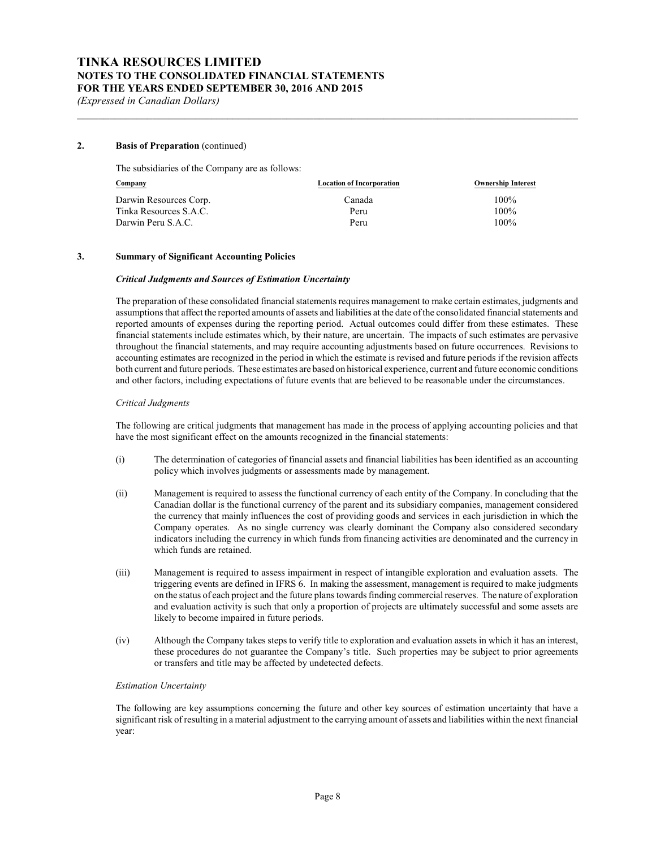#### **2. Basis of Preparation** (continued)

The subsidiaries of the Company are as follows:

| Company                | <b>Location of Incorporation</b> | <b>Ownership Interest</b> |
|------------------------|----------------------------------|---------------------------|
| Darwin Resources Corp. | Canada                           | $100\%$                   |
| Tinka Resources S.A.C. | Peru                             | $100\%$                   |
| Darwin Peru S.A.C.     | Peru                             | $100\%$                   |

**\_\_\_\_\_\_\_\_\_\_\_\_\_\_\_\_\_\_\_\_\_\_\_\_\_\_\_\_\_\_\_\_\_\_\_\_\_\_\_\_\_\_\_\_\_\_\_\_\_\_\_\_\_\_\_\_\_\_\_\_\_\_\_\_\_\_\_\_\_\_\_\_\_\_\_\_\_\_\_\_\_\_\_\_\_\_\_\_\_\_\_\_\_**

#### **3. Summary of Significant Accounting Policies**

#### *Critical Judgments and Sources of Estimation Uncertainty*

The preparation of these consolidated financial statements requires management to make certain estimates, judgments and assumptions that affect the reported amounts of assets and liabilities at the date of the consolidated financial statements and reported amounts of expenses during the reporting period. Actual outcomes could differ from these estimates. These financial statements include estimates which, by their nature, are uncertain. The impacts of such estimates are pervasive throughout the financial statements, and may require accounting adjustments based on future occurrences. Revisions to accounting estimates are recognized in the period in which the estimate is revised and future periods if the revision affects both current and future periods. These estimates are based on historical experience, current and future economic conditions and other factors, including expectations of future events that are believed to be reasonable under the circumstances.

#### *Critical Judgments*

The following are critical judgments that management has made in the process of applying accounting policies and that have the most significant effect on the amounts recognized in the financial statements:

- (i) The determination of categories of financial assets and financial liabilities has been identified as an accounting policy which involves judgments or assessments made by management.
- (ii) Management is required to assess the functional currency of each entity of the Company. In concluding that the Canadian dollar is the functional currency of the parent and its subsidiary companies, management considered the currency that mainly influences the cost of providing goods and services in each jurisdiction in which the Company operates. As no single currency was clearly dominant the Company also considered secondary indicators including the currency in which funds from financing activities are denominated and the currency in which funds are retained.
- (iii) Management is required to assess impairment in respect of intangible exploration and evaluation assets. The triggering events are defined in IFRS 6. In making the assessment, management is required to make judgments on the status of each project and the future plans towards finding commercial reserves. The nature of exploration and evaluation activity is such that only a proportion of projects are ultimately successful and some assets are likely to become impaired in future periods.
- (iv) Although the Company takes steps to verify title to exploration and evaluation assets in which it has an interest, these procedures do not guarantee the Company's title. Such properties may be subject to prior agreements or transfers and title may be affected by undetected defects.

#### *Estimation Uncertainty*

The following are key assumptions concerning the future and other key sources of estimation uncertainty that have a significant risk of resulting in a material adjustment to the carrying amount of assets and liabilities within the next financial year: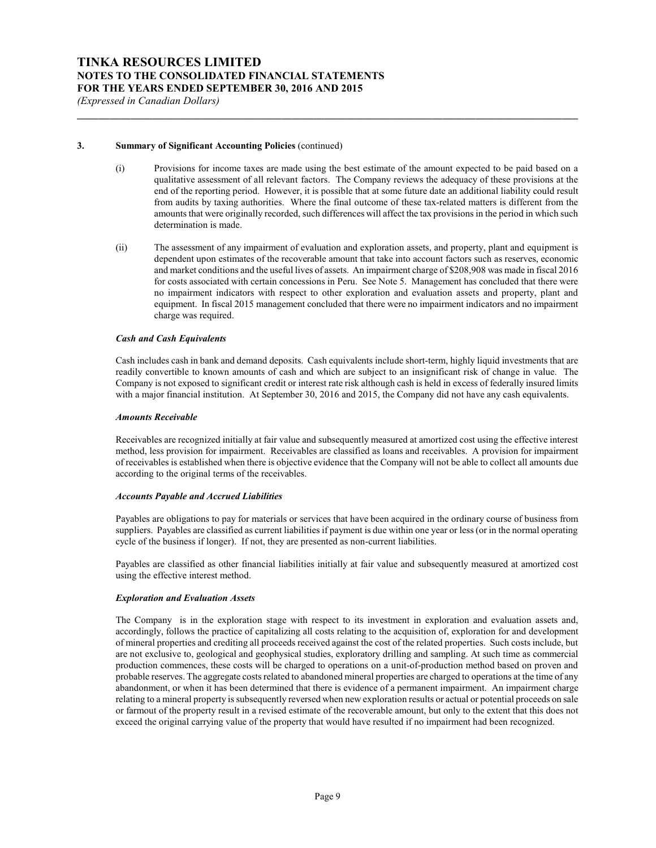#### **3. Summary of Significant Accounting Policies** (continued)

(i) Provisions for income taxes are made using the best estimate of the amount expected to be paid based on a qualitative assessment of all relevant factors. The Company reviews the adequacy of these provisions at the end of the reporting period. However, it is possible that at some future date an additional liability could result from audits by taxing authorities. Where the final outcome of these tax-related matters is different from the amounts that were originally recorded, such differences will affect the tax provisions in the period in which such determination is made.

**\_\_\_\_\_\_\_\_\_\_\_\_\_\_\_\_\_\_\_\_\_\_\_\_\_\_\_\_\_\_\_\_\_\_\_\_\_\_\_\_\_\_\_\_\_\_\_\_\_\_\_\_\_\_\_\_\_\_\_\_\_\_\_\_\_\_\_\_\_\_\_\_\_\_\_\_\_\_\_\_\_\_\_\_\_\_\_\_\_\_\_\_\_**

(ii) The assessment of any impairment of evaluation and exploration assets, and property, plant and equipment is dependent upon estimates of the recoverable amount that take into account factors such as reserves, economic and market conditions and the useful lives of assets. An impairment charge of \$208,908 was made in fiscal 2016 for costs associated with certain concessions in Peru. See Note 5. Management has concluded that there were no impairment indicators with respect to other exploration and evaluation assets and property, plant and equipment. In fiscal 2015 management concluded that there were no impairment indicators and no impairment charge was required.

#### *Cash and Cash Equivalents*

Cash includes cash in bank and demand deposits. Cash equivalents include short-term, highly liquid investments that are readily convertible to known amounts of cash and which are subject to an insignificant risk of change in value. The Company is not exposed to significant credit or interest rate risk although cash is held in excess of federally insured limits with a major financial institution. At September 30, 2016 and 2015, the Company did not have any cash equivalents.

#### *Amounts Receivable*

Receivables are recognized initially at fair value and subsequently measured at amortized cost using the effective interest method, less provision for impairment. Receivables are classified as loans and receivables. A provision for impairment of receivables is established when there is objective evidence that the Company will not be able to collect all amounts due according to the original terms of the receivables.

#### *Accounts Payable and Accrued Liabilities*

Payables are obligations to pay for materials or services that have been acquired in the ordinary course of business from suppliers. Payables are classified as current liabilities if payment is due within one year or less (or in the normal operating cycle of the business if longer). If not, they are presented as non-current liabilities.

Payables are classified as other financial liabilities initially at fair value and subsequently measured at amortized cost using the effective interest method.

#### *Exploration and Evaluation Assets*

The Company is in the exploration stage with respect to its investment in exploration and evaluation assets and, accordingly, follows the practice of capitalizing all costs relating to the acquisition of, exploration for and development of mineral properties and crediting all proceeds received against the cost of the related properties. Such costs include, but are not exclusive to, geological and geophysical studies, exploratory drilling and sampling. At such time as commercial production commences, these costs will be charged to operations on a unit-of-production method based on proven and probable reserves. The aggregate costs related to abandoned mineral properties are charged to operations at the time of any abandonment, or when it has been determined that there is evidence of a permanent impairment. An impairment charge relating to a mineral property is subsequently reversed when new exploration results or actual or potential proceeds on sale or farmout of the property result in a revised estimate of the recoverable amount, but only to the extent that this does not exceed the original carrying value of the property that would have resulted if no impairment had been recognized.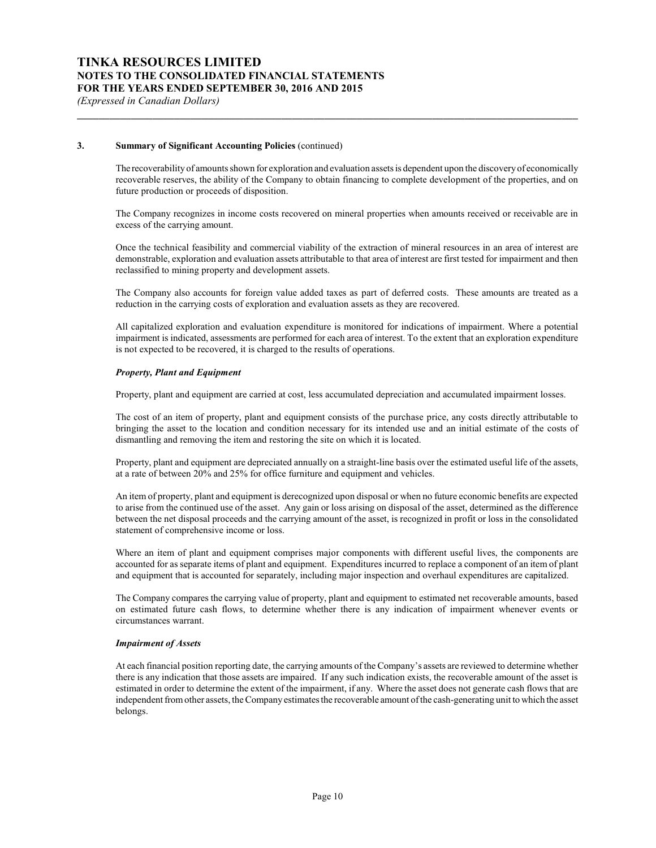#### **3. Summary of Significant Accounting Policies** (continued)

The recoverability of amounts shown for exploration and evaluation assets is dependent upon the discoveryof economically recoverable reserves, the ability of the Company to obtain financing to complete development of the properties, and on future production or proceeds of disposition.

**\_\_\_\_\_\_\_\_\_\_\_\_\_\_\_\_\_\_\_\_\_\_\_\_\_\_\_\_\_\_\_\_\_\_\_\_\_\_\_\_\_\_\_\_\_\_\_\_\_\_\_\_\_\_\_\_\_\_\_\_\_\_\_\_\_\_\_\_\_\_\_\_\_\_\_\_\_\_\_\_\_\_\_\_\_\_\_\_\_\_\_\_\_**

The Company recognizes in income costs recovered on mineral properties when amounts received or receivable are in excess of the carrying amount.

Once the technical feasibility and commercial viability of the extraction of mineral resources in an area of interest are demonstrable, exploration and evaluation assets attributable to that area of interest are first tested for impairment and then reclassified to mining property and development assets.

The Company also accounts for foreign value added taxes as part of deferred costs. These amounts are treated as a reduction in the carrying costs of exploration and evaluation assets as they are recovered.

All capitalized exploration and evaluation expenditure is monitored for indications of impairment. Where a potential impairment is indicated, assessments are performed for each area of interest. To the extent that an exploration expenditure is not expected to be recovered, it is charged to the results of operations.

#### *Property, Plant and Equipment*

Property, plant and equipment are carried at cost, less accumulated depreciation and accumulated impairment losses.

The cost of an item of property, plant and equipment consists of the purchase price, any costs directly attributable to bringing the asset to the location and condition necessary for its intended use and an initial estimate of the costs of dismantling and removing the item and restoring the site on which it is located.

Property, plant and equipment are depreciated annually on a straight-line basis over the estimated useful life of the assets, at a rate of between 20% and 25% for office furniture and equipment and vehicles.

An item of property, plant and equipment is derecognized upon disposal or when no future economic benefits are expected to arise from the continued use of the asset. Any gain or loss arising on disposal of the asset, determined as the difference between the net disposal proceeds and the carrying amount of the asset, is recognized in profit or loss in the consolidated statement of comprehensive income or loss.

Where an item of plant and equipment comprises major components with different useful lives, the components are accounted for as separate items of plant and equipment. Expenditures incurred to replace a component of an item of plant and equipment that is accounted for separately, including major inspection and overhaul expenditures are capitalized.

The Company compares the carrying value of property, plant and equipment to estimated net recoverable amounts, based on estimated future cash flows, to determine whether there is any indication of impairment whenever events or circumstances warrant.

#### *Impairment of Assets*

At each financial position reporting date, the carrying amounts of the Company's assets are reviewed to determine whether there is any indication that those assets are impaired. If any such indication exists, the recoverable amount of the asset is estimated in order to determine the extent of the impairment, if any. Where the asset does not generate cash flows that are independent from other assets, the Company estimates the recoverable amount of the cash-generating unit to which the asset belongs.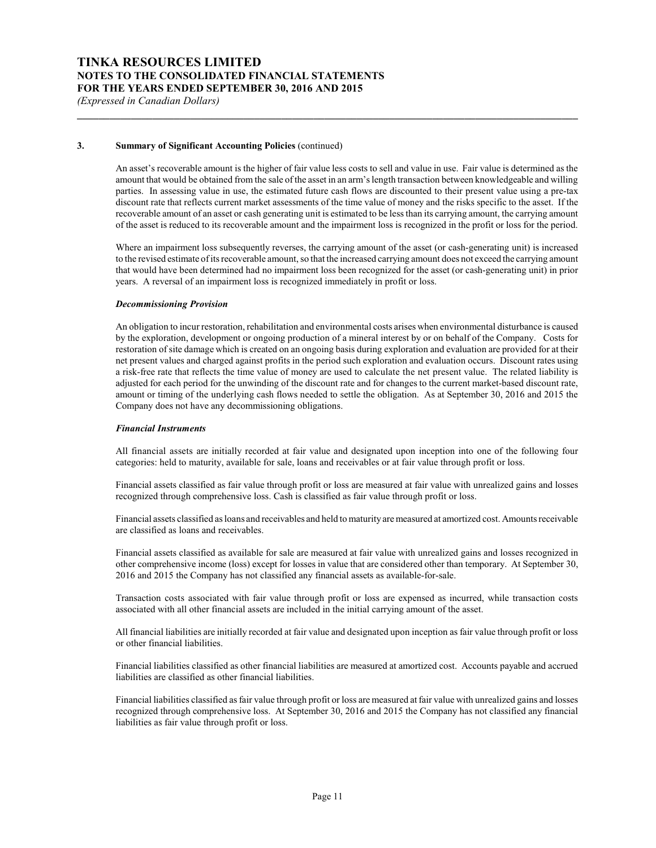## **TINKA RESOURCES LIMITED NOTES TO THE CONSOLIDATED FINANCIAL STATEMENTS FOR THE YEARS ENDED SEPTEMBER 30, 2016 AND 2015**

*(Expressed in Canadian Dollars)*

#### **3. Summary of Significant Accounting Policies** (continued)

An asset's recoverable amount is the higher of fair value less costs to sell and value in use. Fair value is determined as the amount that would be obtained from the sale of the asset in an arm's length transaction between knowledgeable and willing parties. In assessing value in use, the estimated future cash flows are discounted to their present value using a pre-tax discount rate that reflects current market assessments of the time value of money and the risks specific to the asset. If the recoverable amount of an asset or cash generating unit is estimated to be less than its carrying amount, the carrying amount of the asset is reduced to its recoverable amount and the impairment loss is recognized in the profit or loss for the period.

**\_\_\_\_\_\_\_\_\_\_\_\_\_\_\_\_\_\_\_\_\_\_\_\_\_\_\_\_\_\_\_\_\_\_\_\_\_\_\_\_\_\_\_\_\_\_\_\_\_\_\_\_\_\_\_\_\_\_\_\_\_\_\_\_\_\_\_\_\_\_\_\_\_\_\_\_\_\_\_\_\_\_\_\_\_\_\_\_\_\_\_\_\_**

Where an impairment loss subsequently reverses, the carrying amount of the asset (or cash-generating unit) is increased to the revised estimate of its recoverable amount, so that the increased carrying amount does not exceed the carrying amount that would have been determined had no impairment loss been recognized for the asset (or cash-generating unit) in prior years. A reversal of an impairment loss is recognized immediately in profit or loss.

#### *Decommissioning Provision*

An obligation to incur restoration, rehabilitation and environmental costs arises when environmental disturbance is caused by the exploration, development or ongoing production of a mineral interest by or on behalf of the Company. Costs for restoration of site damage which is created on an ongoing basis during exploration and evaluation are provided for at their net present values and charged against profits in the period such exploration and evaluation occurs. Discount rates using a risk-free rate that reflects the time value of money are used to calculate the net present value. The related liability is adjusted for each period for the unwinding of the discount rate and for changes to the current market-based discount rate, amount or timing of the underlying cash flows needed to settle the obligation. As at September 30, 2016 and 2015 the Company does not have any decommissioning obligations.

#### *Financial Instruments*

All financial assets are initially recorded at fair value and designated upon inception into one of the following four categories: held to maturity, available for sale, loans and receivables or at fair value through profit or loss.

Financial assets classified as fair value through profit or loss are measured at fair value with unrealized gains and losses recognized through comprehensive loss. Cash is classified as fair value through profit or loss.

Financial assets classified as loans and receivables and held to maturity are measured at amortized cost. Amounts receivable are classified as loans and receivables.

Financial assets classified as available for sale are measured at fair value with unrealized gains and losses recognized in other comprehensive income (loss) except for losses in value that are considered other than temporary. At September 30, 2016 and 2015 the Company has not classified any financial assets as available-for-sale.

Transaction costs associated with fair value through profit or loss are expensed as incurred, while transaction costs associated with all other financial assets are included in the initial carrying amount of the asset.

All financial liabilities are initially recorded at fair value and designated upon inception as fair value through profit or loss or other financial liabilities.

Financial liabilities classified as other financial liabilities are measured at amortized cost. Accounts payable and accrued liabilities are classified as other financial liabilities.

Financial liabilities classified as fair value through profit or loss are measured at fair value with unrealized gains and losses recognized through comprehensive loss. At September 30, 2016 and 2015 the Company has not classified any financial liabilities as fair value through profit or loss.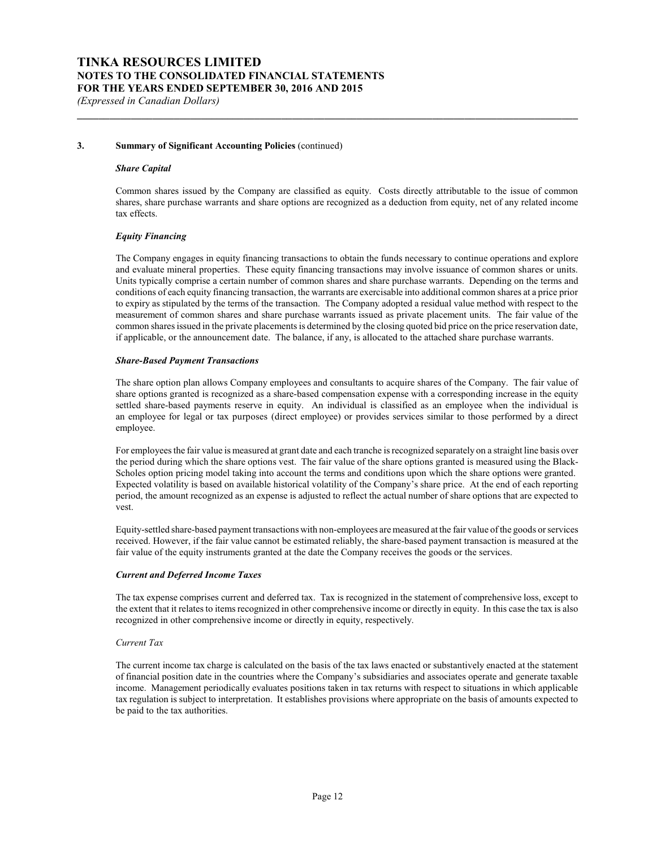#### **3. Summary of Significant Accounting Policies** (continued)

#### *Share Capital*

Common shares issued by the Company are classified as equity. Costs directly attributable to the issue of common shares, share purchase warrants and share options are recognized as a deduction from equity, net of any related income tax effects.

**\_\_\_\_\_\_\_\_\_\_\_\_\_\_\_\_\_\_\_\_\_\_\_\_\_\_\_\_\_\_\_\_\_\_\_\_\_\_\_\_\_\_\_\_\_\_\_\_\_\_\_\_\_\_\_\_\_\_\_\_\_\_\_\_\_\_\_\_\_\_\_\_\_\_\_\_\_\_\_\_\_\_\_\_\_\_\_\_\_\_\_\_\_**

#### *Equity Financing*

The Company engages in equity financing transactions to obtain the funds necessary to continue operations and explore and evaluate mineral properties. These equity financing transactions may involve issuance of common shares or units. Units typically comprise a certain number of common shares and share purchase warrants. Depending on the terms and conditions of each equity financing transaction, the warrants are exercisable into additional common shares at a price prior to expiry as stipulated by the terms of the transaction. The Company adopted a residual value method with respect to the measurement of common shares and share purchase warrants issued as private placement units. The fair value of the common shares issued in the private placements is determined by the closing quoted bid price on the price reservation date, if applicable, or the announcement date. The balance, if any, is allocated to the attached share purchase warrants.

#### *Share-Based Payment Transactions*

The share option plan allows Company employees and consultants to acquire shares of the Company. The fair value of share options granted is recognized as a share-based compensation expense with a corresponding increase in the equity settled share-based payments reserve in equity. An individual is classified as an employee when the individual is an employee for legal or tax purposes (direct employee) or provides services similar to those performed by a direct employee.

For employees the fair value is measured at grant date and each tranche is recognized separately on a straight line basis over the period during which the share options vest. The fair value of the share options granted is measured using the Black-Scholes option pricing model taking into account the terms and conditions upon which the share options were granted. Expected volatility is based on available historical volatility of the Company's share price. At the end of each reporting period, the amount recognized as an expense is adjusted to reflect the actual number of share options that are expected to vest.

Equity-settled share-based payment transactions with non-employees are measured at the fair value of the goods or services received. However, if the fair value cannot be estimated reliably, the share-based payment transaction is measured at the fair value of the equity instruments granted at the date the Company receives the goods or the services.

#### *Current and Deferred Income Taxes*

The tax expense comprises current and deferred tax. Tax is recognized in the statement of comprehensive loss, except to the extent that it relates to items recognized in other comprehensive income or directly in equity. In this case the tax is also recognized in other comprehensive income or directly in equity, respectively.

#### *Current Tax*

The current income tax charge is calculated on the basis of the tax laws enacted or substantively enacted at the statement of financial position date in the countries where the Company's subsidiaries and associates operate and generate taxable income. Management periodically evaluates positions taken in tax returns with respect to situations in which applicable tax regulation is subject to interpretation. It establishes provisions where appropriate on the basis of amounts expected to be paid to the tax authorities.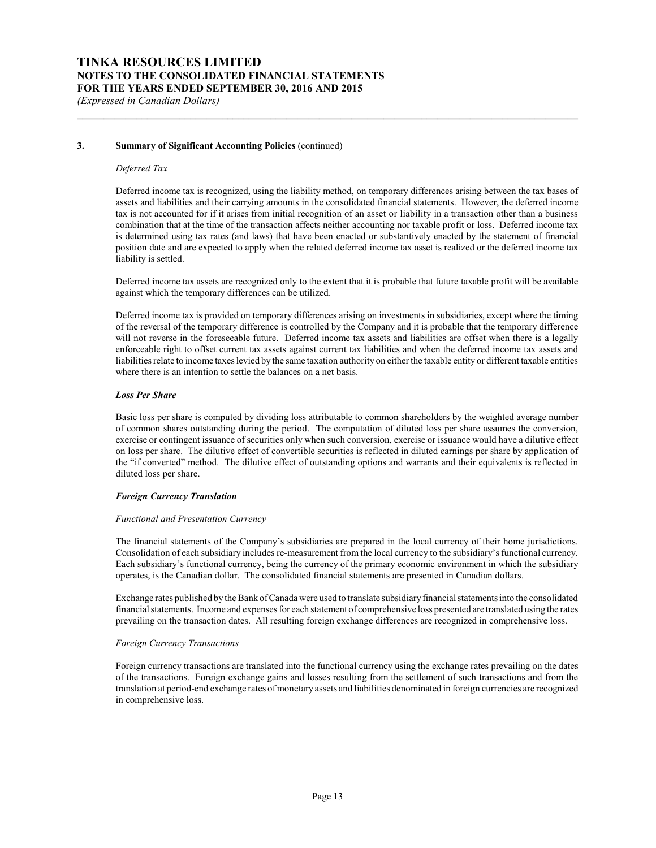#### **3. Summary of Significant Accounting Policies** (continued)

#### *Deferred Tax*

Deferred income tax is recognized, using the liability method, on temporary differences arising between the tax bases of assets and liabilities and their carrying amounts in the consolidated financial statements. However, the deferred income tax is not accounted for if it arises from initial recognition of an asset or liability in a transaction other than a business combination that at the time of the transaction affects neither accounting nor taxable profit or loss. Deferred income tax is determined using tax rates (and laws) that have been enacted or substantively enacted by the statement of financial position date and are expected to apply when the related deferred income tax asset is realized or the deferred income tax liability is settled.

**\_\_\_\_\_\_\_\_\_\_\_\_\_\_\_\_\_\_\_\_\_\_\_\_\_\_\_\_\_\_\_\_\_\_\_\_\_\_\_\_\_\_\_\_\_\_\_\_\_\_\_\_\_\_\_\_\_\_\_\_\_\_\_\_\_\_\_\_\_\_\_\_\_\_\_\_\_\_\_\_\_\_\_\_\_\_\_\_\_\_\_\_\_**

Deferred income tax assets are recognized only to the extent that it is probable that future taxable profit will be available against which the temporary differences can be utilized.

Deferred income tax is provided on temporary differences arising on investments in subsidiaries, except where the timing of the reversal of the temporary difference is controlled by the Company and it is probable that the temporary difference will not reverse in the foreseeable future. Deferred income tax assets and liabilities are offset when there is a legally enforceable right to offset current tax assets against current tax liabilities and when the deferred income tax assets and liabilities relate to income taxes levied by the same taxation authority on either the taxable entity or different taxable entities where there is an intention to settle the balances on a net basis.

#### *Loss Per Share*

Basic loss per share is computed by dividing loss attributable to common shareholders by the weighted average number of common shares outstanding during the period. The computation of diluted loss per share assumes the conversion, exercise or contingent issuance of securities only when such conversion, exercise or issuance would have a dilutive effect on loss per share. The dilutive effect of convertible securities is reflected in diluted earnings per share by application of the "if converted" method. The dilutive effect of outstanding options and warrants and their equivalents is reflected in diluted loss per share.

#### *Foreign Currency Translation*

#### *Functional and Presentation Currency*

The financial statements of the Company's subsidiaries are prepared in the local currency of their home jurisdictions. Consolidation of each subsidiary includes re-measurement from the local currency to the subsidiary's functional currency. Each subsidiary's functional currency, being the currency of the primary economic environment in which the subsidiary operates, is the Canadian dollar. The consolidated financial statements are presented in Canadian dollars.

Exchange rates published by the Bank of Canada were used to translate subsidiaryfinancial statements into the consolidated financial statements. Income and expenses for each statement of comprehensive loss presented are translated using the rates prevailing on the transaction dates. All resulting foreign exchange differences are recognized in comprehensive loss.

#### *Foreign Currency Transactions*

Foreign currency transactions are translated into the functional currency using the exchange rates prevailing on the dates of the transactions. Foreign exchange gains and losses resulting from the settlement of such transactions and from the translation at period-end exchange rates of monetary assets and liabilities denominated in foreign currencies are recognized in comprehensive loss.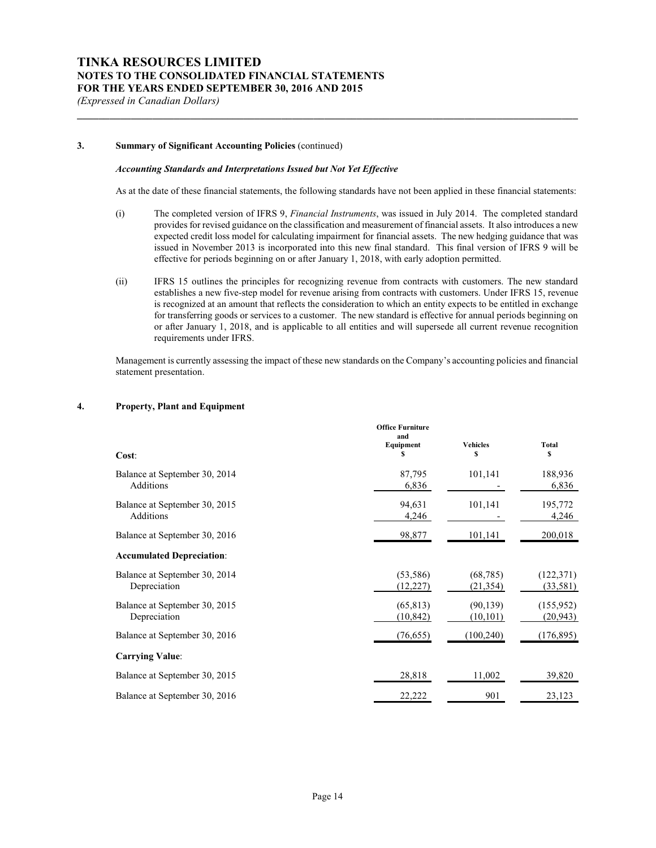#### **3. Summary of Significant Accounting Policies** (continued)

#### *Accounting Standards and Interpretations Issued but Not Yet Effective*

As at the date of these financial statements, the following standards have not been applied in these financial statements:

**\_\_\_\_\_\_\_\_\_\_\_\_\_\_\_\_\_\_\_\_\_\_\_\_\_\_\_\_\_\_\_\_\_\_\_\_\_\_\_\_\_\_\_\_\_\_\_\_\_\_\_\_\_\_\_\_\_\_\_\_\_\_\_\_\_\_\_\_\_\_\_\_\_\_\_\_\_\_\_\_\_\_\_\_\_\_\_\_\_\_\_\_\_**

- (i) The completed version of IFRS 9, *Financial Instruments*, was issued in July 2014. The completed standard provides for revised guidance on the classification and measurement of financial assets. It also introduces a new expected credit loss model for calculating impairment for financial assets. The new hedging guidance that was issued in November 2013 is incorporated into this new final standard. This final version of IFRS 9 will be effective for periods beginning on or after January 1, 2018, with early adoption permitted.
- (ii) IFRS 15 outlines the principles for recognizing revenue from contracts with customers. The new standard establishes a new five-step model for revenue arising from contracts with customers. Under IFRS 15, revenue is recognized at an amount that reflects the consideration to which an entity expects to be entitled in exchange for transferring goods or services to a customer. The new standard is effective for annual periods beginning on or after January 1, 2018, and is applicable to all entities and will supersede all current revenue recognition requirements under IFRS.

Management is currently assessing the impact of these new standards on the Company's accounting policies and financial statement presentation.

| 4. |  | <b>Property, Plant and Equipment</b> |
|----|--|--------------------------------------|
|----|--|--------------------------------------|

| Cost:                                         | <b>Office Furniture</b><br>and<br>Equipment<br>\$ | <b>Vehicles</b><br>\$  | <b>Total</b><br>S       |
|-----------------------------------------------|---------------------------------------------------|------------------------|-------------------------|
| Balance at September 30, 2014<br>Additions    | 87,795<br>6,836                                   | 101,141                | 188,936<br>6,836        |
| Balance at September 30, 2015<br>Additions    | 94,631<br>4,246                                   | 101,141                | 195,772<br>4,246        |
| Balance at September 30, 2016                 | 98,877                                            | 101,141                | 200,018                 |
| <b>Accumulated Depreciation:</b>              |                                                   |                        |                         |
| Balance at September 30, 2014<br>Depreciation | (53, 586)<br>(12, 227)                            | (68, 785)<br>(21, 354) | (122, 371)<br>(33,581)  |
| Balance at September 30, 2015<br>Depreciation | (65, 813)<br>(10, 842)                            | (90, 139)<br>(10, 101) | (155, 952)<br>(20, 943) |
| Balance at September 30, 2016                 | (76, 655)                                         | (100, 240)             | (176, 895)              |
| <b>Carrying Value:</b>                        |                                                   |                        |                         |
| Balance at September 30, 2015                 | 28,818                                            | 11,002                 | 39,820                  |
| Balance at September 30, 2016                 | 22,222                                            | 901                    | 23,123                  |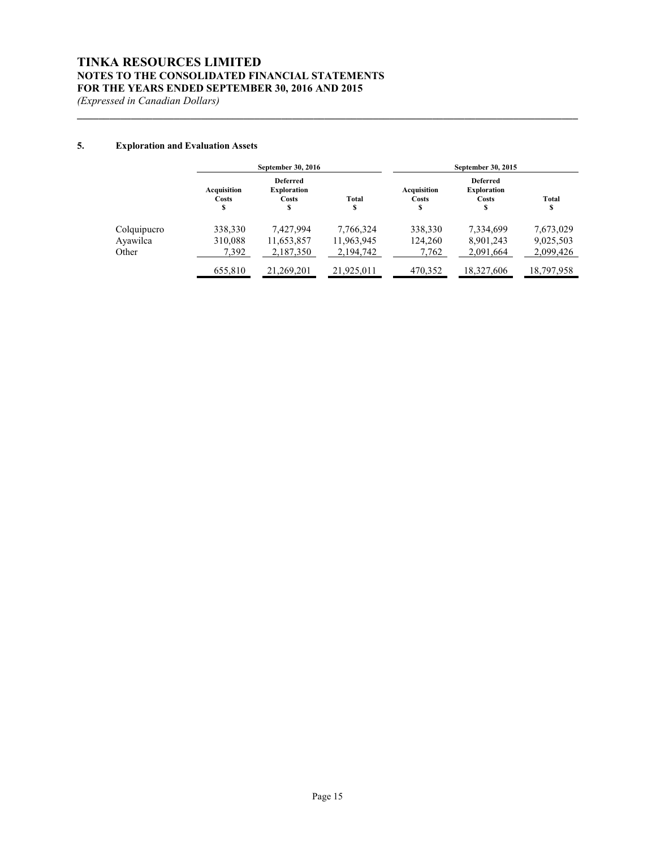## **TINKA RESOURCES LIMITED NOTES TO THE CONSOLIDATED FINANCIAL STATEMENTS FOR THE YEARS ENDED SEPTEMBER 30, 2016 AND 2015**

*(Expressed in Canadian Dollars)*

## **5. Exploration and Evaluation Assets**

|             |                            | September 30, 2016                                  |             |                           | September 30, 2015                                   |             |
|-------------|----------------------------|-----------------------------------------------------|-------------|---------------------------|------------------------------------------------------|-------------|
|             | Acquisition<br>Costs<br>\$ | <b>Deferred</b><br><b>Exploration</b><br>Costs<br>s | Total<br>\$ | Acquisition<br>Costs<br>S | <b>Deferred</b><br><b>Exploration</b><br>Costs<br>\$ | Total<br>\$ |
| Colquipucro | 338,330                    | 7,427,994                                           | 7,766,324   | 338,330                   | 7,334,699                                            | 7,673,029   |
| Ayawilca    | 310,088                    | 11,653,857                                          | 11,963,945  | 124,260                   | 8,901,243                                            | 9,025,503   |
| Other       | 7.392                      | 2,187,350                                           | 2,194,742   | 7,762                     | 2,091,664                                            | 2,099,426   |
|             | 655.810                    | 21.269.201                                          | 21.925.011  | 470.352                   | 18,327,606                                           | 18,797,958  |

**\_\_\_\_\_\_\_\_\_\_\_\_\_\_\_\_\_\_\_\_\_\_\_\_\_\_\_\_\_\_\_\_\_\_\_\_\_\_\_\_\_\_\_\_\_\_\_\_\_\_\_\_\_\_\_\_\_\_\_\_\_\_\_\_\_\_\_\_\_\_\_\_\_\_\_\_\_\_\_\_\_\_\_\_\_\_\_\_\_\_\_\_\_**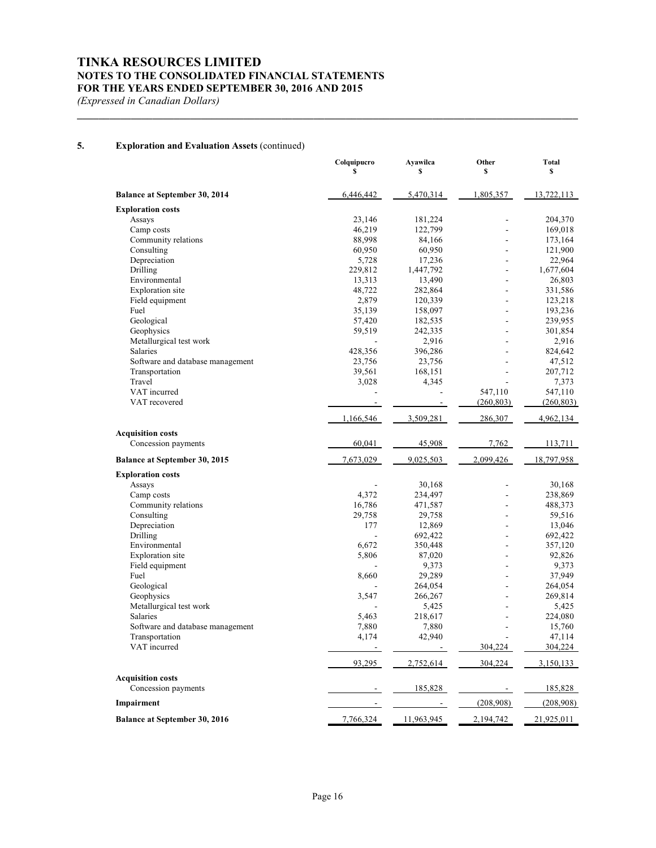## **TINKA RESOURCES LIMITED NOTES TO THE CONSOLIDATED FINANCIAL STATEMENTS FOR THE YEARS ENDED SEPTEMBER 30, 2016 AND 2015**

*(Expressed in Canadian Dollars)*

## **5. Exploration and Evaluation Assets** (continued)

|                                      | Colquipucro<br>\$ | Ayawilca<br>\$     | Other<br>\$          | <b>Total</b><br>\$ |
|--------------------------------------|-------------------|--------------------|----------------------|--------------------|
| Balance at September 30, 2014        | 6,446,442         | 5,470,314          | 1,805,357            | 13,722,113         |
| <b>Exploration costs</b>             |                   |                    |                      |                    |
| Assays                               | 23,146            | 181,224            |                      | 204,370            |
| Camp costs                           | 46,219            | 122,799            |                      | 169,018            |
| Community relations                  | 88,998            | 84,166             |                      | 173,164            |
| Consulting                           | 60,950            | 60,950             | $\overline{a}$       | 121,900            |
| Depreciation                         | 5,728             | 17,236             | ÷                    | 22,964             |
| Drilling                             | 229,812           | 1,447,792          |                      | 1,677,604          |
| Environmental                        | 13,313            | 13,490             | ÷,                   | 26,803             |
| Exploration site                     | 48,722            | 282,864            | ÷                    | 331,586            |
| Field equipment                      | 2,879             | 120,339            |                      | 123,218            |
| Fuel                                 | 35,139            | 158,097            | $\overline{a}$<br>÷, | 193,236            |
| Geological<br>Geophysics             | 57,420<br>59,519  | 182,535<br>242,335 | ÷,                   | 239,955<br>301,854 |
| Metallurgical test work              |                   | 2,916              |                      | 2,916              |
| Salaries                             | 428,356           | 396,286            | ÷.                   | 824,642            |
| Software and database management     | 23,756            | 23,756             |                      | 47,512             |
| Transportation                       | 39,561            | 168,151            |                      | 207,712            |
| Travel                               | 3,028             | 4,345              |                      | 7,373              |
| VAT incurred                         |                   |                    | 547,110              | 547,110            |
| VAT recovered                        |                   |                    | (260, 803)           | (260, 803)         |
|                                      | 1,166,546         | 3,509,281          | 286,307              | 4,962,134          |
| <b>Acquisition costs</b>             |                   |                    |                      |                    |
| Concession payments                  | 60,041            | 45,908             | 7,762                | 113,711            |
| Balance at September 30, 2015        | 7,673,029         | 9,025,503          | 2,099,426            | 18,797,958         |
| <b>Exploration costs</b>             |                   |                    |                      |                    |
| Assays                               |                   | 30,168             | ٠                    | 30,168             |
| Camp costs                           | 4,372             | 234,497            | ÷.                   | 238,869            |
| Community relations                  | 16,786            | 471,587            | $\overline{a}$       | 488,373            |
| Consulting                           | 29,758            | 29,758             | $\blacksquare$       | 59,516             |
| Depreciation                         | 177               | 12,869             | ÷.                   | 13,046             |
| Drilling                             |                   | 692,422            |                      | 692,422            |
| Environmental                        | 6,672             | 350,448            | ÷                    | 357,120            |
| Exploration site                     | 5,806             | 87,020             | $\overline{a}$       | 92,826             |
| Field equipment                      |                   | 9,373              |                      | 9,373              |
| Fuel                                 | 8,660             | 29,289             | ۰<br>÷               | 37,949             |
| Geological<br>Geophysics             |                   | 264,054<br>266,267 |                      | 264,054<br>269,814 |
| Metallurgical test work              | 3,547             | 5,425              | ÷,                   | 5,425              |
| <b>Salaries</b>                      | 5,463             | 218,617            | $\overline{a}$       | 224,080            |
| Software and database management     | 7,880             | 7,880              | $\overline{a}$       | 15,760             |
| Transportation                       | 4,174             | 42,940             |                      | 47,114             |
| VAT incurred                         |                   |                    | 304,224              | 304,224            |
|                                      | 93,295            | 2,752,614          | 304,224              | 3,150,133          |
| <b>Acquisition costs</b>             |                   |                    |                      |                    |
| Concession payments                  |                   | 185,828            |                      | 185,828            |
| Impairment                           |                   |                    | (208,908)            | (208,908)          |
| <b>Balance at September 30, 2016</b> | 7,766,324         | 11,963,945         | 2,194,742            | 21,925,011         |

**\_\_\_\_\_\_\_\_\_\_\_\_\_\_\_\_\_\_\_\_\_\_\_\_\_\_\_\_\_\_\_\_\_\_\_\_\_\_\_\_\_\_\_\_\_\_\_\_\_\_\_\_\_\_\_\_\_\_\_\_\_\_\_\_\_\_\_\_\_\_\_\_\_\_\_\_\_\_\_\_\_\_\_\_\_\_\_\_\_\_\_\_\_**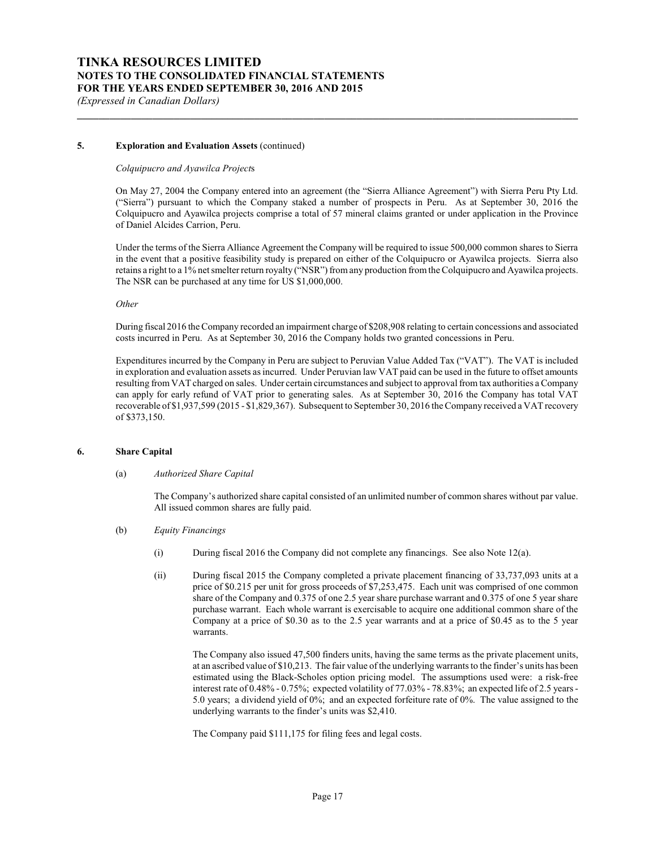#### **5. Exploration and Evaluation Assets** (continued)

#### *Colquipucro and Ayawilca Project*s

On May 27, 2004 the Company entered into an agreement (the "Sierra Alliance Agreement") with Sierra Peru Pty Ltd. ("Sierra") pursuant to which the Company staked a number of prospects in Peru. As at September 30, 2016 the Colquipucro and Ayawilca projects comprise a total of 57 mineral claims granted or under application in the Province of Daniel Alcides Carrion, Peru.

**\_\_\_\_\_\_\_\_\_\_\_\_\_\_\_\_\_\_\_\_\_\_\_\_\_\_\_\_\_\_\_\_\_\_\_\_\_\_\_\_\_\_\_\_\_\_\_\_\_\_\_\_\_\_\_\_\_\_\_\_\_\_\_\_\_\_\_\_\_\_\_\_\_\_\_\_\_\_\_\_\_\_\_\_\_\_\_\_\_\_\_\_\_**

Under the terms of the Sierra Alliance Agreement the Company will be required to issue 500,000 common shares to Sierra in the event that a positive feasibility study is prepared on either of the Colquipucro or Ayawilca projects. Sierra also retains a right to a 1% net smelter return royalty ("NSR") from any production from the Colquipucro and Ayawilca projects. The NSR can be purchased at any time for US \$1,000,000.

*Other*

During fiscal 2016 the Company recorded an impairment charge of \$208,908 relating to certain concessions and associated costs incurred in Peru. As at September 30, 2016 the Company holds two granted concessions in Peru.

Expenditures incurred by the Company in Peru are subject to Peruvian Value Added Tax ("VAT"). The VAT is included in exploration and evaluation assets as incurred. Under Peruvian law VAT paid can be used in the future to offset amounts resulting from VAT charged on sales. Under certain circumstances and subject to approval from tax authorities a Company can apply for early refund of VAT prior to generating sales. As at September 30, 2016 the Company has total VAT recoverable of \$1,937,599 (2015 - \$1,829,367). Subsequent to September 30, 2016 the Company received a VAT recovery of \$373,150.

#### **6. Share Capital**

#### (a) *Authorized Share Capital*

The Company's authorized share capital consisted of an unlimited number of common shares without par value. All issued common shares are fully paid.

- (b) *Equity Financings*
	- (i) During fiscal 2016 the Company did not complete any financings. See also Note 12(a).
	- (ii) During fiscal 2015 the Company completed a private placement financing of 33,737,093 units at a price of \$0.215 per unit for gross proceeds of \$7,253,475. Each unit was comprised of one common share of the Company and 0.375 of one 2.5 year share purchase warrant and 0.375 of one 5 year share purchase warrant. Each whole warrant is exercisable to acquire one additional common share of the Company at a price of \$0.30 as to the 2.5 year warrants and at a price of \$0.45 as to the 5 year warrants.

The Company also issued 47,500 finders units, having the same terms as the private placement units, at an ascribed value of \$10,213. The fair value of the underlying warrants to the finder's units has been estimated using the Black-Scholes option pricing model. The assumptions used were: a risk-free interest rate of 0.48% - 0.75%; expected volatility of 77.03% - 78.83%; an expected life of 2.5 years - 5.0 years; a dividend yield of 0%; and an expected forfeiture rate of 0%. The value assigned to the underlying warrants to the finder's units was \$2,410.

The Company paid \$111,175 for filing fees and legal costs.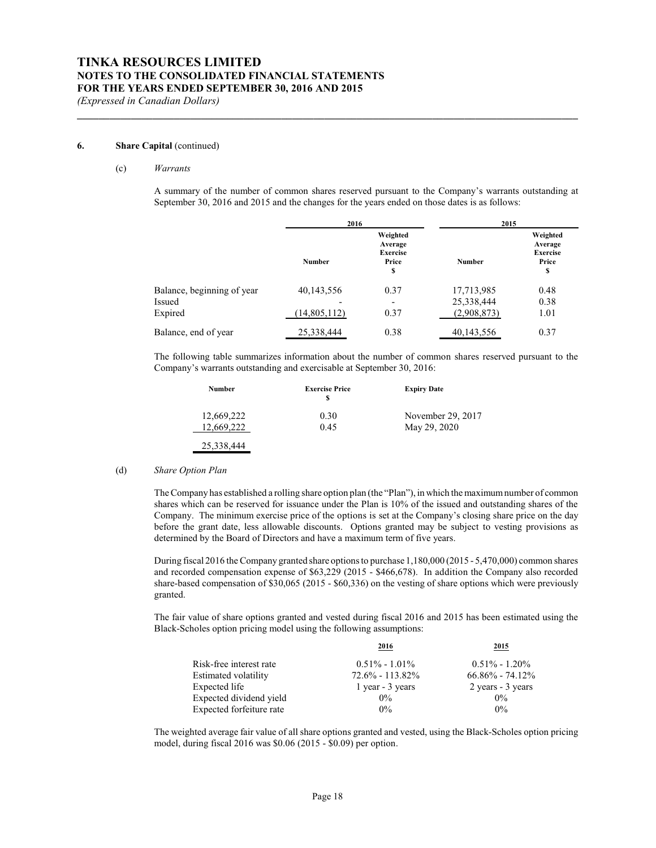#### **6. Share Capital** (continued)

#### (c) *Warrants*

A summary of the number of common shares reserved pursuant to the Company's warrants outstanding at September 30, 2016 and 2015 and the changes for the years ended on those dates is as follows:

**\_\_\_\_\_\_\_\_\_\_\_\_\_\_\_\_\_\_\_\_\_\_\_\_\_\_\_\_\_\_\_\_\_\_\_\_\_\_\_\_\_\_\_\_\_\_\_\_\_\_\_\_\_\_\_\_\_\_\_\_\_\_\_\_\_\_\_\_\_\_\_\_\_\_\_\_\_\_\_\_\_\_\_\_\_\_\_\_\_\_\_\_\_**

|                            |                | 2016                                                  |               | 2015                                                  |
|----------------------------|----------------|-------------------------------------------------------|---------------|-------------------------------------------------------|
|                            | <b>Number</b>  | Weighted<br>Average<br><b>Exercise</b><br>Price<br>\$ | <b>Number</b> | Weighted<br>Average<br><b>Exercise</b><br>Price<br>\$ |
| Balance, beginning of year | 40,143,556     | 0.37                                                  | 17,713,985    | 0.48                                                  |
| Issued                     |                | $\overline{\phantom{0}}$                              | 25,338,444    | 0.38                                                  |
| Expired                    | (14, 805, 112) | 0.37                                                  | (2,908,873)   | 1.01                                                  |
| Balance, end of year       | 25,338,444     | 0.38                                                  | 40,143,556    | 0.37                                                  |

The following table summarizes information about the number of common shares reserved pursuant to the Company's warrants outstanding and exercisable at September 30, 2016:

| <b>Number</b> | <b>Exercise Price</b><br>S | <b>Expiry Date</b> |
|---------------|----------------------------|--------------------|
| 12,669,222    | 0.30                       | November 29, 2017  |
| 12.669.222    | 0.45                       | May 29, 2020       |
| 25,338,444    |                            |                    |

#### (d) *Share Option Plan*

The Company has established a rolling share option plan (the "Plan"), in which the maximumnumber of common shares which can be reserved for issuance under the Plan is 10% of the issued and outstanding shares of the Company. The minimum exercise price of the options is set at the Company's closing share price on the day before the grant date, less allowable discounts. Options granted may be subject to vesting provisions as determined by the Board of Directors and have a maximum term of five years.

During fiscal 2016 the Company granted share options to purchase 1,180,000 (2015 - 5,470,000) common shares and recorded compensation expense of \$63,229 (2015 - \$466,678). In addition the Company also recorded share-based compensation of \$30,065 (2015 - \$60,336) on the vesting of share options which were previously granted.

The fair value of share options granted and vested during fiscal 2016 and 2015 has been estimated using the Black-Scholes option pricing model using the following assumptions:

|                          | 2016                | 2015                |
|--------------------------|---------------------|---------------------|
| Risk-free interest rate  | $0.51\% - 1.01\%$   | $0.51\% - 1.20\%$   |
| Estimated volatility     | $72.6\% - 113.82\%$ | $66.86\% - 74.12\%$ |
| Expected life            | 1 year - 3 years    | 2 years - 3 years   |
| Expected dividend yield  | $0\%$               | $0\%$               |
| Expected forfeiture rate | $0\%$               | $0\%$               |

The weighted average fair value of all share options granted and vested, using the Black-Scholes option pricing model, during fiscal 2016 was \$0.06 (2015 - \$0.09) per option.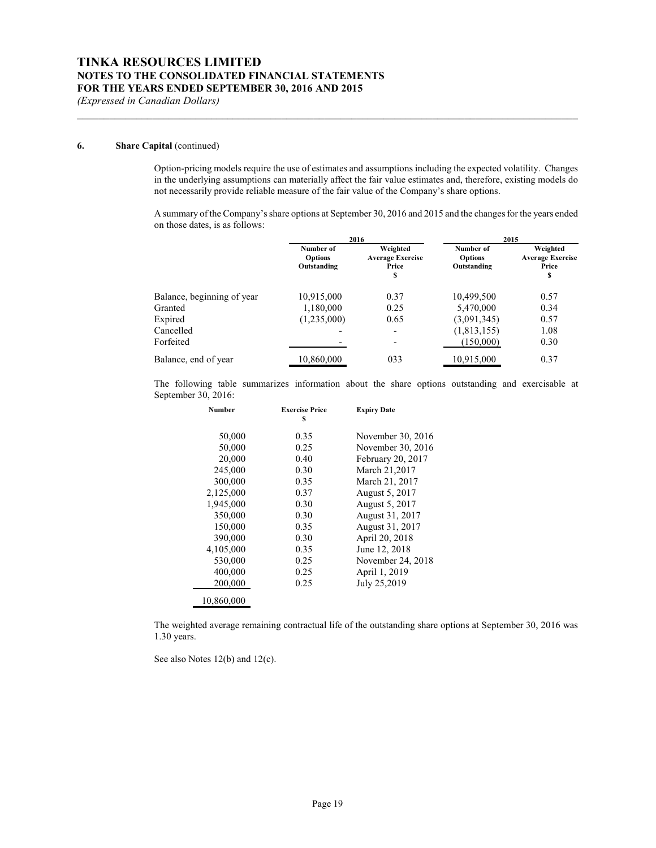#### **6. Share Capital** (continued)

Option-pricing models require the use of estimates and assumptions including the expected volatility. Changes in the underlying assumptions can materially affect the fair value estimates and, therefore, existing models do not necessarily provide reliable measure of the fair value of the Company's share options.

**\_\_\_\_\_\_\_\_\_\_\_\_\_\_\_\_\_\_\_\_\_\_\_\_\_\_\_\_\_\_\_\_\_\_\_\_\_\_\_\_\_\_\_\_\_\_\_\_\_\_\_\_\_\_\_\_\_\_\_\_\_\_\_\_\_\_\_\_\_\_\_\_\_\_\_\_\_\_\_\_\_\_\_\_\_\_\_\_\_\_\_\_\_**

A summary of the Company'sshare options at September 30, 2016 and 2015 and the changes for the years ended on those dates, is as follows:

|                            |                                            | 2016                                               |                                            | 2015                                               |
|----------------------------|--------------------------------------------|----------------------------------------------------|--------------------------------------------|----------------------------------------------------|
|                            | Number of<br><b>Options</b><br>Outstanding | Weighted<br><b>Average Exercise</b><br>Price<br>\$ | Number of<br><b>Options</b><br>Outstanding | Weighted<br><b>Average Exercise</b><br>Price<br>\$ |
| Balance, beginning of year | 10,915,000                                 | 0.37                                               | 10.499.500                                 | 0.57                                               |
| Granted                    | 1,180,000                                  | 0.25                                               | 5,470,000                                  | 0.34                                               |
| Expired                    | (1,235,000)                                | 0.65                                               | (3,091,345)                                | 0.57                                               |
| Cancelled                  |                                            | $\overline{\phantom{a}}$                           | (1,813,155)                                | 1.08                                               |
| Forfeited                  |                                            | $\overline{\phantom{a}}$                           | (150,000)                                  | 0.30                                               |
| Balance, end of year       | 10,860,000                                 | 033                                                | 10,915,000                                 | 0.37                                               |

The following table summarizes information about the share options outstanding and exercisable at September 30, 2016:

| <b>Number</b> | <b>Exercise Price</b><br>S | <b>Expiry Date</b>    |
|---------------|----------------------------|-----------------------|
| 50,000        | 0.35                       | November 30, 2016     |
| 50,000        | 0.25                       | November 30, 2016     |
| 20,000        | 0.40                       | February 20, 2017     |
| 245,000       | 0.30                       | March 21,2017         |
| 300,000       | 0.35                       | March 21, 2017        |
| 2,125,000     | 0.37                       | August 5, 2017        |
| 1,945,000     | 0.30                       | <b>August 5, 2017</b> |
| 350,000       | 0.30                       | August 31, 2017       |
| 150,000       | 0.35                       | August 31, 2017       |
| 390,000       | 0.30                       | April 20, 2018        |
| 4,105,000     | 0.35                       | June 12, 2018         |
| 530,000       | 0.25                       | November 24, 2018     |
| 400,000       | 0.25                       | April 1, 2019         |
| 200,000       | 0.25                       | July 25,2019          |
| 10,860,000    |                            |                       |

The weighted average remaining contractual life of the outstanding share options at September 30, 2016 was 1.30 years.

See also Notes 12(b) and 12(c).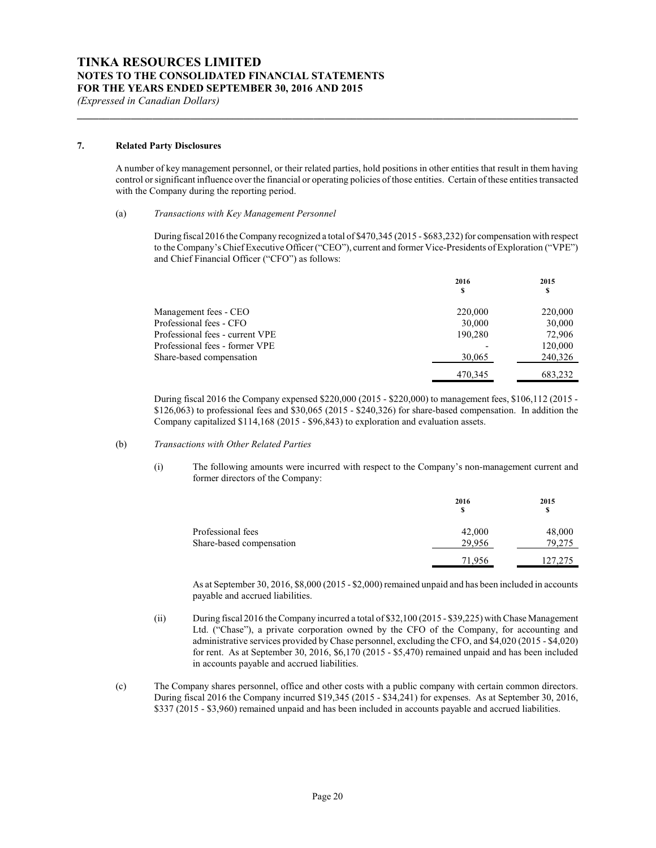#### **7. Related Party Disclosures**

A number of key management personnel, or their related parties, hold positions in other entities that result in them having control or significant influence over the financial or operating policies of those entities. Certain of these entities transacted with the Company during the reporting period.

**\_\_\_\_\_\_\_\_\_\_\_\_\_\_\_\_\_\_\_\_\_\_\_\_\_\_\_\_\_\_\_\_\_\_\_\_\_\_\_\_\_\_\_\_\_\_\_\_\_\_\_\_\_\_\_\_\_\_\_\_\_\_\_\_\_\_\_\_\_\_\_\_\_\_\_\_\_\_\_\_\_\_\_\_\_\_\_\_\_\_\_\_\_**

#### (a) *Transactions with Key Management Personnel*

During fiscal 2016 the Company recognized a total of \$470,345 (2015 - \$683,232) for compensation with respect to the Company's Chief Executive Officer ("CEO"), current and former Vice-Presidents of Exploration ("VPE") and Chief Financial Officer ("CFO") as follows:

|                                 | 2016<br>\$ | 2015<br>\$ |
|---------------------------------|------------|------------|
| Management fees - CEO           | 220,000    | 220,000    |
| Professional fees - CFO         | 30,000     | 30,000     |
| Professional fees - current VPE | 190.280    | 72,906     |
| Professional fees - former VPE  |            | 120,000    |
| Share-based compensation        | 30,065     | 240,326    |
|                                 | 470.345    | 683.232    |

During fiscal 2016 the Company expensed \$220,000 (2015 - \$220,000) to management fees, \$106,112 (2015 - \$126,063) to professional fees and \$30,065 (2015 - \$240,326) for share-based compensation. In addition the Company capitalized \$114,168 (2015 - \$96,843) to exploration and evaluation assets.

#### (b) *Transactions with Other Related Parties*

(i) The following amounts were incurred with respect to the Company's non-management current and former directors of the Company:

|                          | 2016<br>s | 2015<br>\$ |
|--------------------------|-----------|------------|
| Professional fees        | 42,000    | 48,000     |
| Share-based compensation | 29.956    | 79,275     |
|                          | 71,956    | 127,275    |

As at September 30, 2016, \$8,000 (2015 - \$2,000) remained unpaid and has been included in accounts payable and accrued liabilities.

- (ii) During fiscal 2016 the Company incurred a total of \$32,100 (2015 \$39,225) with Chase Management Ltd. ("Chase"), a private corporation owned by the CFO of the Company, for accounting and administrative services provided byChase personnel, excluding the CFO, and \$4,020 (2015 - \$4,020) for rent. As at September 30, 2016, \$6,170 (2015 - \$5,470) remained unpaid and has been included in accounts payable and accrued liabilities.
- (c) The Company shares personnel, office and other costs with a public company with certain common directors. During fiscal 2016 the Company incurred \$19,345 (2015 - \$34,241) for expenses. As at September 30, 2016, \$337 (2015 - \$3,960) remained unpaid and has been included in accounts payable and accrued liabilities.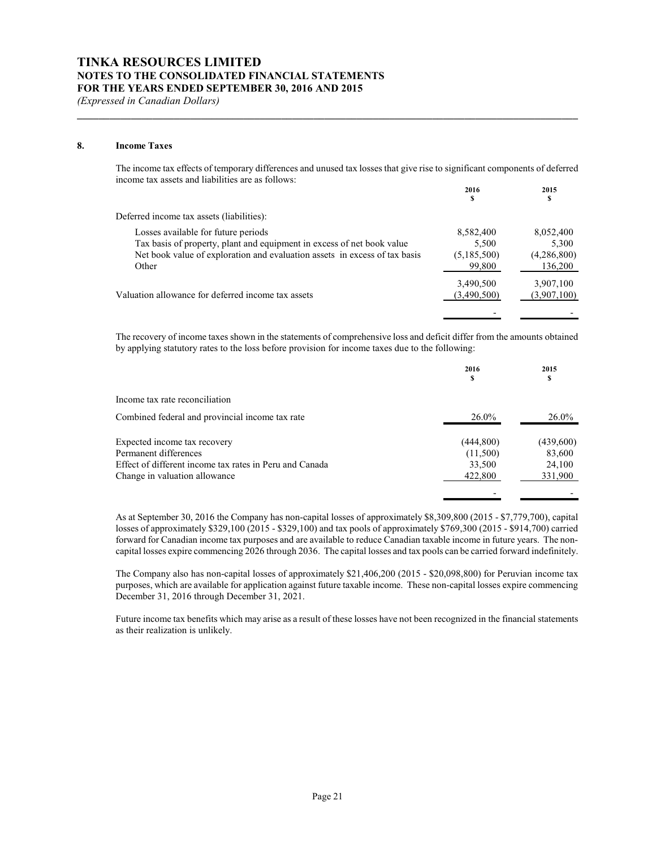#### **8. Income Taxes**

The income tax effects of temporary differences and unused tax losses that give rise to significant components of deferred income tax assets and liabilities are as follows:

**\_\_\_\_\_\_\_\_\_\_\_\_\_\_\_\_\_\_\_\_\_\_\_\_\_\_\_\_\_\_\_\_\_\_\_\_\_\_\_\_\_\_\_\_\_\_\_\_\_\_\_\_\_\_\_\_\_\_\_\_\_\_\_\_\_\_\_\_\_\_\_\_\_\_\_\_\_\_\_\_\_\_\_\_\_\_\_\_\_\_\_\_\_**

|                                                                            | 2016<br>S   | 2015<br>s   |
|----------------------------------------------------------------------------|-------------|-------------|
| Deferred income tax assets (liabilities):                                  |             |             |
| Losses available for future periods                                        | 8,582,400   | 8,052,400   |
| Tax basis of property, plant and equipment in excess of net book value     | 5,500       | 5,300       |
| Net book value of exploration and evaluation assets in excess of tax basis | (5,185,500) | (4,286,800) |
| Other                                                                      | 99,800      | 136,200     |
|                                                                            | 3,490,500   | 3,907,100   |
| Valuation allowance for deferred income tax assets                         | (3,490,500) | (3,907,100) |
|                                                                            |             |             |

The recovery of income taxes shown in the statements of comprehensive loss and deficit differ from the amounts obtained by applying statutory rates to the loss before provision for income taxes due to the following:

|                                                         | 2016<br>S | 2015<br>\$ |
|---------------------------------------------------------|-----------|------------|
| Income tax rate reconciliation                          |           |            |
| Combined federal and provincial income tax rate         | $26.0\%$  | $26.0\%$   |
| Expected income tax recovery                            | (444,800) | (439,600)  |
| Permanent differences                                   | (11,500)  | 83,600     |
| Effect of different income tax rates in Peru and Canada | 33,500    | 24,100     |
| Change in valuation allowance                           | 422,800   | 331,900    |

As at September 30, 2016 the Company has non-capital losses of approximately \$8,309,800 (2015 - \$7,779,700), capital losses of approximately \$329,100 (2015 - \$329,100) and tax pools of approximately \$769,300 (2015 - \$914,700) carried forward for Canadian income tax purposes and are available to reduce Canadian taxable income in future years. The noncapital losses expire commencing 2026 through 2036. The capital losses and tax pools can be carried forward indefinitely.

- -

The Company also has non-capital losses of approximately \$21,406,200 (2015 - \$20,098,800) for Peruvian income tax purposes, which are available for application against future taxable income. These non-capital losses expire commencing December 31, 2016 through December 31, 2021.

Future income tax benefits which may arise as a result of these losses have not been recognized in the financial statements as their realization is unlikely.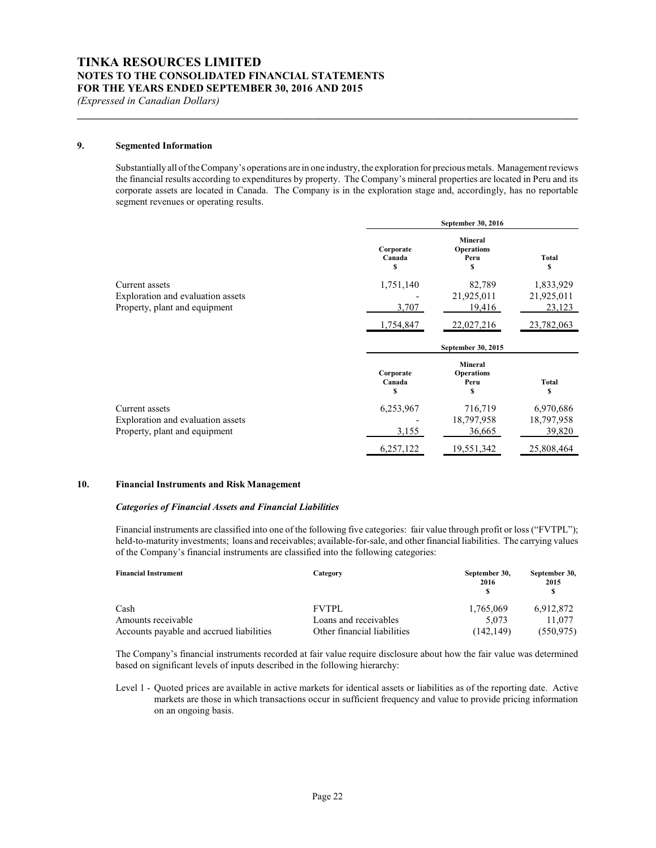#### **9. Segmented Information**

Substantially all of the Company's operations are in one industry, the exploration for precious metals. Management reviews the financial results according to expenditures by property. The Company's mineral properties are located in Peru and its corporate assets are located in Canada. The Company is in the exploration stage and, accordingly, has no reportable segment revenues or operating results.

**\_\_\_\_\_\_\_\_\_\_\_\_\_\_\_\_\_\_\_\_\_\_\_\_\_\_\_\_\_\_\_\_\_\_\_\_\_\_\_\_\_\_\_\_\_\_\_\_\_\_\_\_\_\_\_\_\_\_\_\_\_\_\_\_\_\_\_\_\_\_\_\_\_\_\_\_\_\_\_\_\_\_\_\_\_\_\_\_\_\_\_\_\_**

|                                   |                          | September 30, 2016                               |                   |
|-----------------------------------|--------------------------|--------------------------------------------------|-------------------|
|                                   | Corporate<br>Canada<br>S | <b>Mineral</b><br><b>Operations</b><br>Peru<br>S | Total<br>S        |
| Current assets                    | 1,751,140                | 82,789                                           | 1,833,929         |
| Exploration and evaluation assets |                          | 21,925,011                                       | 21,925,011        |
| Property, plant and equipment     | 3,707                    | 19,416                                           | 23,123            |
|                                   | 1,754,847                | 22,027,216                                       | 23,782,063        |
|                                   |                          |                                                  |                   |
|                                   |                          | September 30, 2015                               |                   |
|                                   | Corporate<br>Canada<br>S | <b>Mineral</b><br><b>Operations</b><br>Peru<br>S | <b>Total</b><br>S |
| Current assets                    | 6,253,967                | 716,719                                          | 6,970,686         |
| Exploration and evaluation assets |                          | 18,797,958                                       | 18,797,958        |
| Property, plant and equipment     | 3,155                    | 36,665                                           | 39,820            |

#### **10. Financial Instruments and Risk Management**

#### *Categories of Financial Assets and Financial Liabilities*

Financial instruments are classified into one of the following five categories: fair value through profit or loss ("FVTPL"); held-to-maturity investments; loans and receivables; available-for-sale, and other financial liabilities. The carrying values of the Company's financial instruments are classified into the following categories:

| <b>Financial Instrument</b>              | Category                    | September 30,<br>2016 | September 30,<br>2015 |
|------------------------------------------|-----------------------------|-----------------------|-----------------------|
| Cash                                     | <b>FVTPL</b>                | 1,765,069             | 6,912,872             |
| Amounts receivable                       | Loans and receivables       | 5.073                 | 11,077                |
| Accounts payable and accrued liabilities | Other financial liabilities | (142.149)             | (550, 975)            |

The Company's financial instruments recorded at fair value require disclosure about how the fair value was determined based on significant levels of inputs described in the following hierarchy:

Level 1 - Quoted prices are available in active markets for identical assets or liabilities as of the reporting date. Active markets are those in which transactions occur in sufficient frequency and value to provide pricing information on an ongoing basis.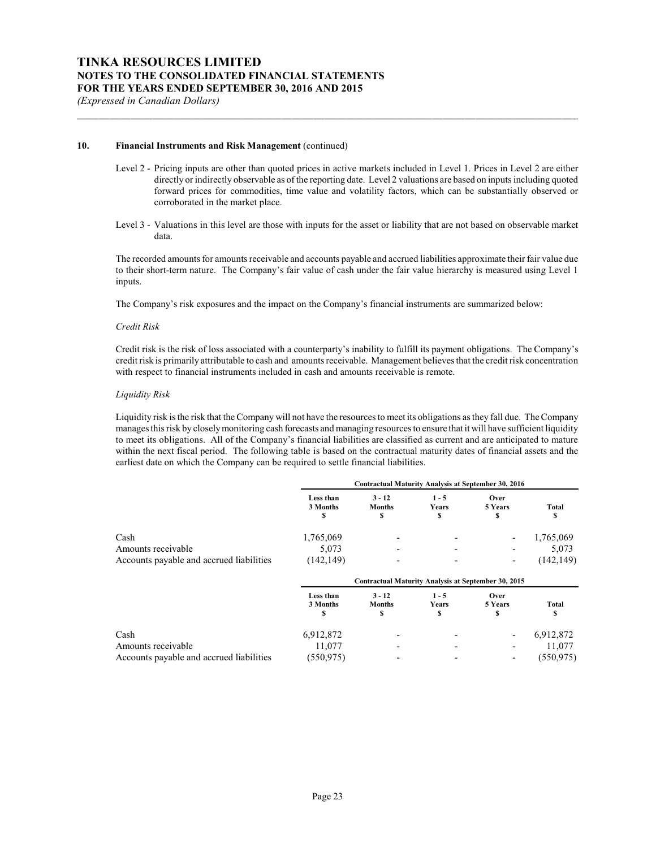#### **10. Financial Instruments and Risk Management** (continued)

Level 2 - Pricing inputs are other than quoted prices in active markets included in Level 1. Prices in Level 2 are either directly or indirectly observable as of the reporting date. Level 2 valuations are based on inputs including quoted forward prices for commodities, time value and volatility factors, which can be substantially observed or corroborated in the market place.

**\_\_\_\_\_\_\_\_\_\_\_\_\_\_\_\_\_\_\_\_\_\_\_\_\_\_\_\_\_\_\_\_\_\_\_\_\_\_\_\_\_\_\_\_\_\_\_\_\_\_\_\_\_\_\_\_\_\_\_\_\_\_\_\_\_\_\_\_\_\_\_\_\_\_\_\_\_\_\_\_\_\_\_\_\_\_\_\_\_\_\_\_\_**

Level 3 - Valuations in this level are those with inputs for the asset or liability that are not based on observable market data.

The recorded amounts for amounts receivable and accounts payable and accrued liabilities approximate their fair value due to their short-term nature. The Company's fair value of cash under the fair value hierarchy is measured using Level 1 inputs.

The Company's risk exposures and the impact on the Company's financial instruments are summarized below:

#### *Credit Risk*

Credit risk is the risk of loss associated with a counterparty's inability to fulfill its payment obligations. The Company's credit risk is primarily attributable to cash and amounts receivable. Management believes that the credit risk concentration with respect to financial instruments included in cash and amounts receivable is remote.

#### *Liquidity Risk*

Liquidity risk is the risk that the Company will not have the resources to meet its obligations as they fall due. The Company manages this risk by closelymonitoring cash forecasts and managing resources to ensure that it will have sufficient liquidity to meet its obligations. All of the Company's financial liabilities are classified as current and are anticipated to mature within the next fiscal period. The following table is based on the contractual maturity dates of financial assets and the earliest date on which the Company can be required to settle financial liabilities.

|                                          |                             | Contractual Maturity Analysis at September 30, 2016        |                        |                       |             |
|------------------------------------------|-----------------------------|------------------------------------------------------------|------------------------|-----------------------|-------------|
|                                          | Less than<br>3 Months<br>\$ | $3 - 12$<br><b>Months</b><br>\$                            | $1 - 5$<br>Years<br>\$ | Over<br>5 Years<br>\$ | Total<br>S  |
| Cash                                     | 1,765,069                   |                                                            |                        |                       | 1,765,069   |
| Amounts receivable                       | 5,073                       |                                                            |                        |                       | 5,073       |
| Accounts payable and accrued liabilities | (142, 149)                  |                                                            |                        | ٠                     | (142, 149)  |
|                                          |                             | <b>Contractual Maturity Analysis at September 30, 2015</b> |                        |                       |             |
|                                          | Less than<br>3 Months<br>\$ | $3 - 12$<br><b>Months</b><br>\$                            | $1 - 5$<br>Years<br>S  | Over<br>5 Years<br>S  | Total<br>\$ |
| Cash                                     | 6,912,872                   |                                                            |                        | ٠                     | 6,912,872   |
| Amounts receivable                       | 11,077                      |                                                            |                        |                       | 11,077      |
| Accounts payable and accrued liabilities | (550, 975)                  |                                                            |                        |                       | (550, 975)  |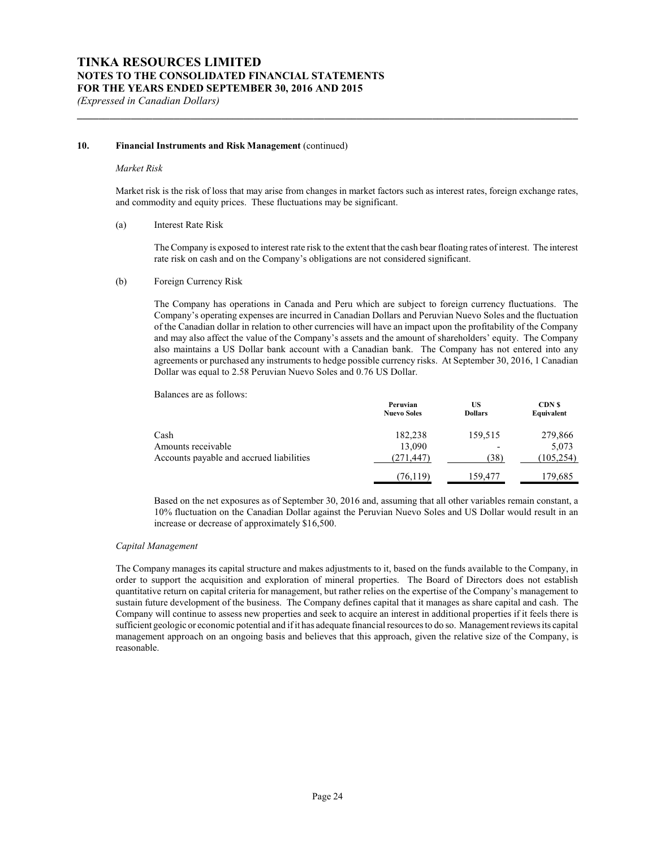#### **10. Financial Instruments and Risk Management** (continued)

#### *Market Risk*

Market risk is the risk of loss that may arise from changes in market factors such as interest rates, foreign exchange rates, and commodity and equity prices. These fluctuations may be significant.

**\_\_\_\_\_\_\_\_\_\_\_\_\_\_\_\_\_\_\_\_\_\_\_\_\_\_\_\_\_\_\_\_\_\_\_\_\_\_\_\_\_\_\_\_\_\_\_\_\_\_\_\_\_\_\_\_\_\_\_\_\_\_\_\_\_\_\_\_\_\_\_\_\_\_\_\_\_\_\_\_\_\_\_\_\_\_\_\_\_\_\_\_\_**

#### (a) Interest Rate Risk

The Company is exposed to interest rate risk to the extent that the cash bear floating rates of interest. The interest rate risk on cash and on the Company's obligations are not considered significant.

#### (b) Foreign Currency Risk

The Company has operations in Canada and Peru which are subject to foreign currency fluctuations. The Company's operating expenses are incurred in Canadian Dollars and Peruvian Nuevo Soles and the fluctuation of the Canadian dollar in relation to other currencies will have an impact upon the profitability of the Company and may also affect the value of the Company's assets and the amount of shareholders' equity. The Company also maintains a US Dollar bank account with a Canadian bank. The Company has not entered into any agreements or purchased any instruments to hedge possible currency risks. At September 30, 2016, 1 Canadian Dollar was equal to 2.58 Peruvian Nuevo Soles and 0.76 US Dollar.

Balances are as follows:

|                                          | Peruvian<br><b>Nuevo Soles</b> | US<br><b>Dollars</b>     | CDN <sub>S</sub><br>Equivalent |
|------------------------------------------|--------------------------------|--------------------------|--------------------------------|
| Cash                                     | 182,238                        | 159,515                  | 279,866                        |
| Amounts receivable                       | 13,090                         | $\overline{\phantom{a}}$ | 5,073                          |
| Accounts payable and accrued liabilities | (271, 447)                     | (38)                     | (105, 254)                     |
|                                          | (76,119)                       | 159.477                  | 179,685                        |

Based on the net exposures as of September 30, 2016 and, assuming that all other variables remain constant, a 10% fluctuation on the Canadian Dollar against the Peruvian Nuevo Soles and US Dollar would result in an increase or decrease of approximately \$16,500.

#### *Capital Management*

The Company manages its capital structure and makes adjustments to it, based on the funds available to the Company, in order to support the acquisition and exploration of mineral properties. The Board of Directors does not establish quantitative return on capital criteria for management, but rather relies on the expertise of the Company's management to sustain future development of the business. The Company defines capital that it manages as share capital and cash. The Company will continue to assess new properties and seek to acquire an interest in additional properties if it feels there is sufficient geologic or economic potential and if it has adequate financial resources to do so. Management reviews its capital management approach on an ongoing basis and believes that this approach, given the relative size of the Company, is reasonable.